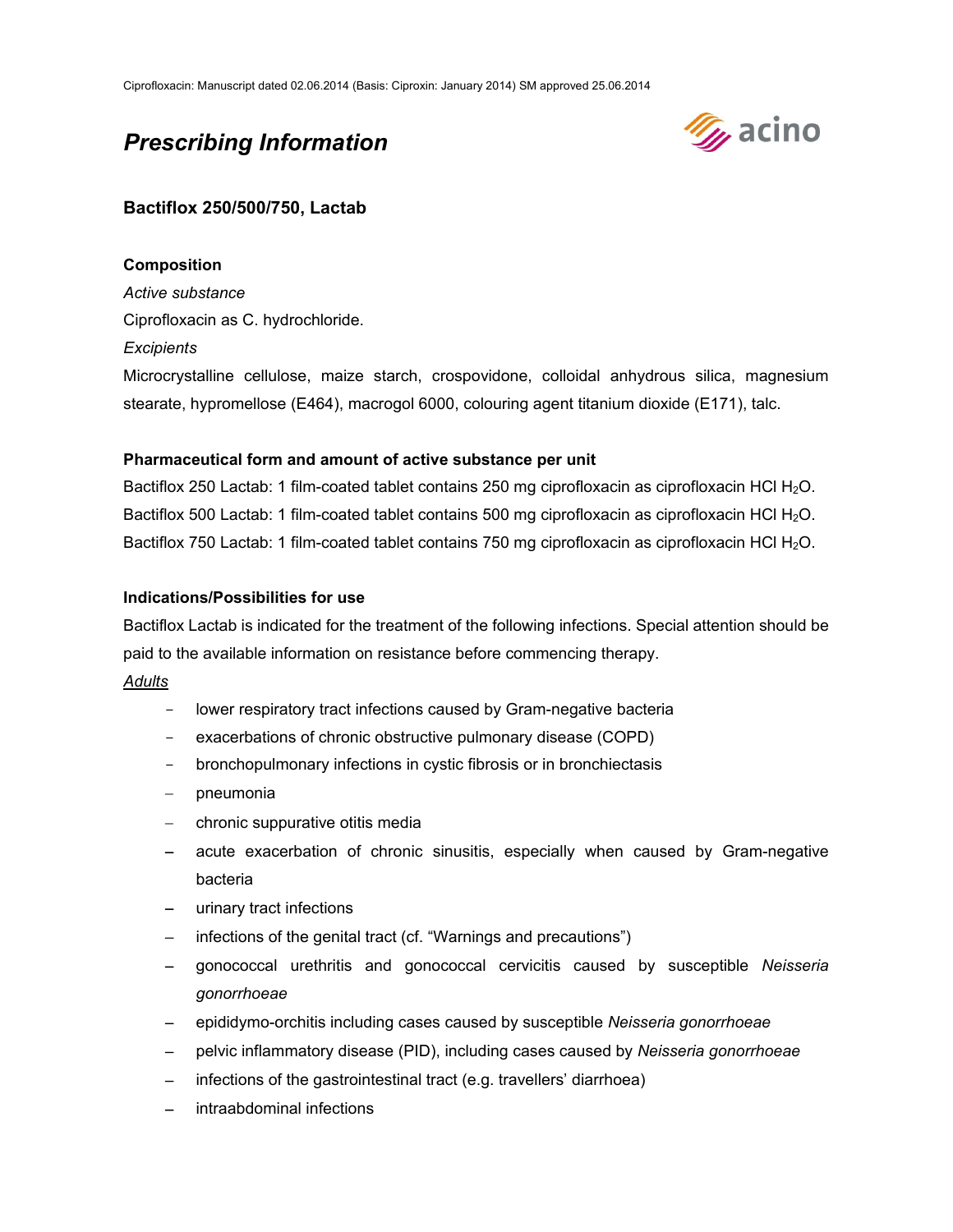# *Prescribing Information*



# **Bactiflox 250/500/750, Lactab**

# **Composition**

*Active substance*  Ciprofloxacin as C. hydrochloride.

### *Excipients*

Microcrystalline cellulose, maize starch, crospovidone, colloidal anhydrous silica, magnesium stearate, hypromellose (E464), macrogol 6000, colouring agent titanium dioxide (E171), talc.

### **Pharmaceutical form and amount of active substance per unit**

Bactiflox 250 Lactab: 1 film-coated tablet contains 250 mg ciprofloxacin as ciprofloxacin HCl H<sub>2</sub>O. Bactiflox 500 Lactab: 1 film-coated tablet contains 500 mg ciprofloxacin as ciprofloxacin HCl H<sub>2</sub>O. Bactiflox 750 Lactab: 1 film-coated tablet contains 750 mg ciprofloxacin as ciprofloxacin HCl H<sub>2</sub>O.

### **Indications/Possibilities for use**

Bactiflox Lactab is indicated for the treatment of the following infections. Special attention should be paid to the available information on resistance before commencing therapy.

### *Adults*

- lower respiratory tract infections caused by Gram-negative bacteria
- exacerbations of chronic obstructive pulmonary disease (COPD)
- bronchopulmonary infections in cystic fibrosis or in bronchiectasis
- pneumonia
- chronic suppurative otitis media
- acute exacerbation of chronic sinusitis, especially when caused by Gram-negative bacteria
- urinary tract infections
- infections of the genital tract (cf. "Warnings and precautions")
- gonococcal urethritis and gonococcal cervicitis caused by susceptible *Neisseria gonorrhoeae*
- epididymo-orchitis including cases caused by susceptible *Neisseria gonorrhoeae*
- pelvic inflammatory disease (PID), including cases caused by *Neisseria gonorrhoeae*
- infections of the gastrointestinal tract (e.g. travellers' diarrhoea)
- intraabdominal infections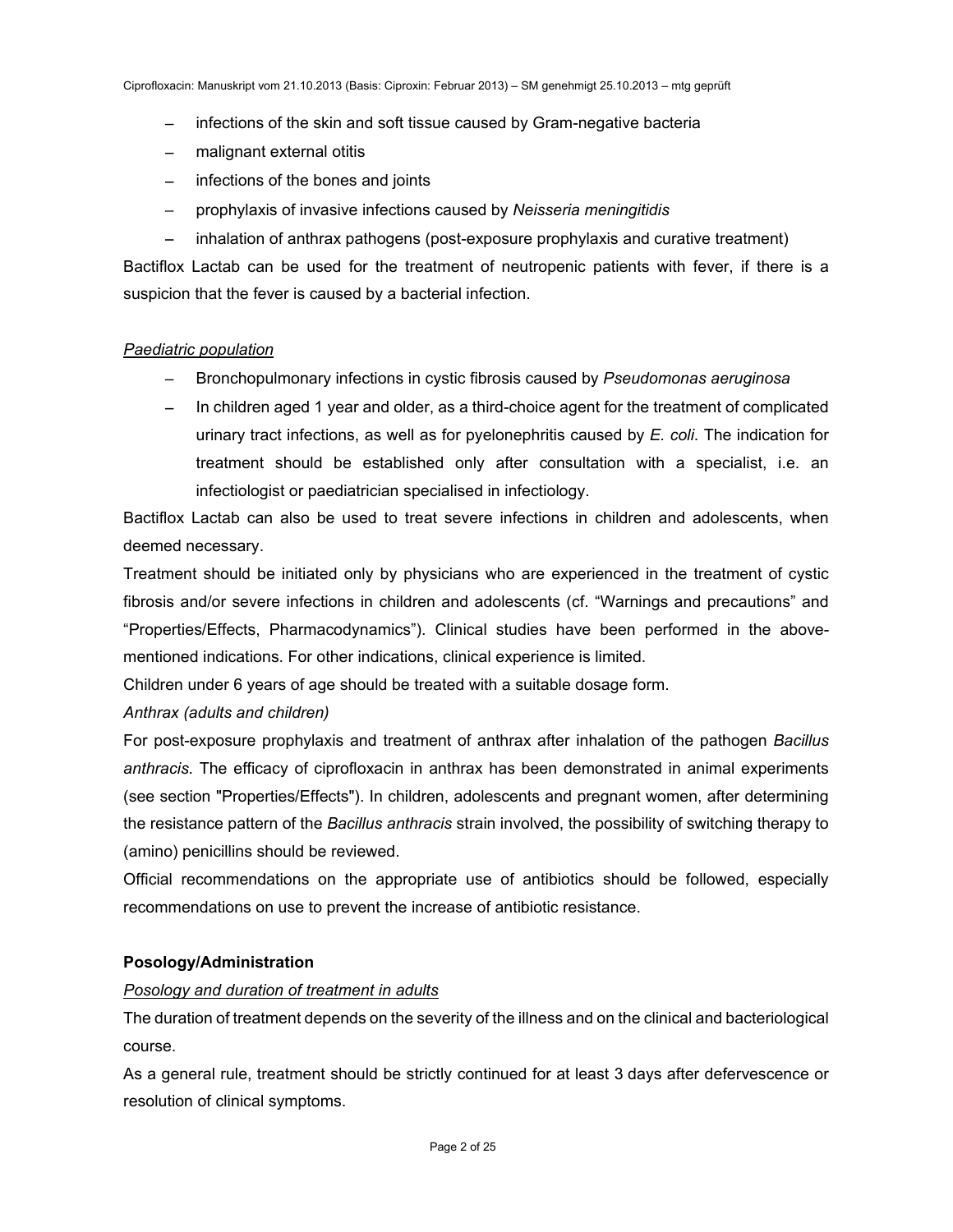- infections of the skin and soft tissue caused by Gram-negative bacteria
- malignant external otitis
- infections of the bones and joints
- prophylaxis of invasive infections caused by *Neisseria meningitidis*
- inhalation of anthrax pathogens (post-exposure prophylaxis and curative treatment)

Bactiflox Lactab can be used for the treatment of neutropenic patients with fever, if there is a suspicion that the fever is caused by a bacterial infection.

### *Paediatric population*

- Bronchopulmonary infections in cystic fibrosis caused by *Pseudomonas aeruginosa*
- In children aged 1 year and older, as a third-choice agent for the treatment of complicated urinary tract infections, as well as for pyelonephritis caused by *E. coli*. The indication for treatment should be established only after consultation with a specialist, i.e. an infectiologist or paediatrician specialised in infectiology.

Bactiflox Lactab can also be used to treat severe infections in children and adolescents, when deemed necessary.

Treatment should be initiated only by physicians who are experienced in the treatment of cystic fibrosis and/or severe infections in children and adolescents (cf. "Warnings and precautions" and "Properties/Effects, Pharmacodynamics"). Clinical studies have been performed in the abovementioned indications. For other indications, clinical experience is limited.

Children under 6 years of age should be treated with a suitable dosage form.

# *Anthrax (adults and children)*

For post-exposure prophylaxis and treatment of anthrax after inhalation of the pathogen *Bacillus anthracis*. The efficacy of ciprofloxacin in anthrax has been demonstrated in animal experiments (see section "Properties/Effects"). In children, adolescents and pregnant women, after determining the resistance pattern of the *Bacillus anthracis* strain involved, the possibility of switching therapy to (amino) penicillins should be reviewed.

Official recommendations on the appropriate use of antibiotics should be followed, especially recommendations on use to prevent the increase of antibiotic resistance.

# **Posology/Administration**

# *Posology and duration of treatment in adults*

The duration of treatment depends on the severity of the illness and on the clinical and bacteriological course.

As a general rule, treatment should be strictly continued for at least 3 days after defervescence or resolution of clinical symptoms.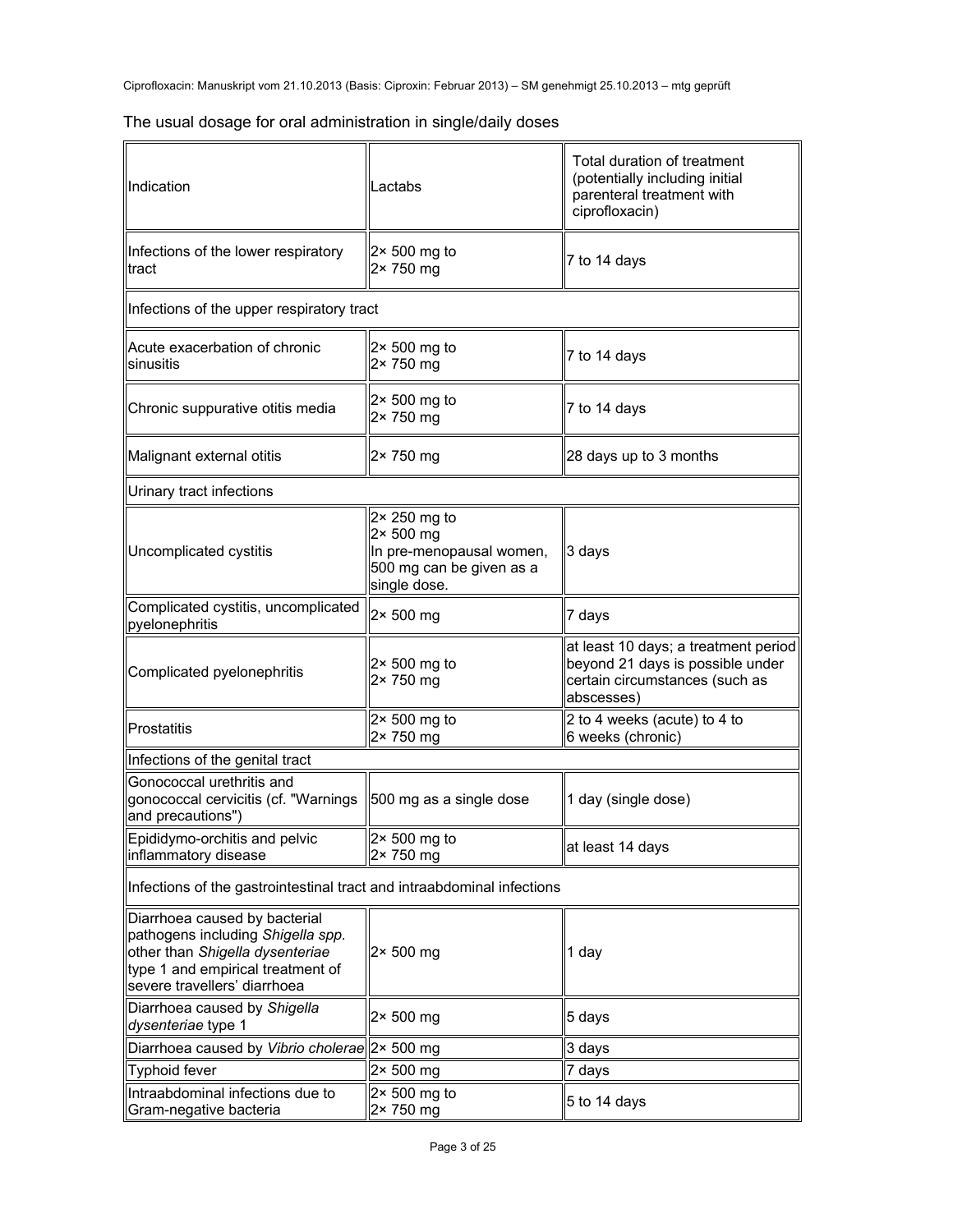|  |  | The usual dosage for oral administration in single/daily doses |  |
|--|--|----------------------------------------------------------------|--|
|  |  |                                                                |  |

| Indication                                                                                                                                                                 | Lactabs                                                                                                           | Total duration of treatment<br>(potentially including initial<br>parenteral treatment with<br>ciprofloxacin)             |  |  |  |
|----------------------------------------------------------------------------------------------------------------------------------------------------------------------------|-------------------------------------------------------------------------------------------------------------------|--------------------------------------------------------------------------------------------------------------------------|--|--|--|
| Infections of the lower respiratory<br>tract                                                                                                                               | $2 \times 500$ mg to<br>2× 750 mg                                                                                 | 7 to 14 days                                                                                                             |  |  |  |
| Infections of the upper respiratory tract                                                                                                                                  |                                                                                                                   |                                                                                                                          |  |  |  |
| Acute exacerbation of chronic<br>sinusitis                                                                                                                                 | $2 \times 500$ mg to<br>2× 750 mg                                                                                 | 7 to 14 days                                                                                                             |  |  |  |
| Chronic suppurative otitis media                                                                                                                                           | $2 \times 500$ mg to<br>2× 750 mg                                                                                 | 7 to 14 days                                                                                                             |  |  |  |
| Malignant external otitis                                                                                                                                                  | 2× 750 mg                                                                                                         | 28 days up to 3 months                                                                                                   |  |  |  |
| Urinary tract infections                                                                                                                                                   |                                                                                                                   |                                                                                                                          |  |  |  |
| Uncomplicated cystitis                                                                                                                                                     | $2 \times 250$ mg to<br>$2 \times 500$ mg<br>In pre-menopausal women,<br>500 mg can be given as a<br>single dose. | 3 days                                                                                                                   |  |  |  |
| Complicated cystitis, uncomplicated<br>pyelonephritis                                                                                                                      | 2× 500 mg                                                                                                         | 7 days                                                                                                                   |  |  |  |
| Complicated pyelonephritis                                                                                                                                                 | $2 \times 500$ mg to<br>2× 750 mg                                                                                 | at least 10 days; a treatment period<br>beyond 21 days is possible under<br>certain circumstances (such as<br>abscesses) |  |  |  |
| Prostatitis                                                                                                                                                                | $2 \times 500$ mg to<br>2× 750 mg                                                                                 | 2 to 4 weeks (acute) to 4 to<br>6 weeks (chronic)                                                                        |  |  |  |
| Infections of the genital tract                                                                                                                                            |                                                                                                                   |                                                                                                                          |  |  |  |
| Gonococcal urethritis and<br>gonococcal cervicitis (cf. "Warnings<br>and precautions")                                                                                     | $\parallel$ 500 mg as a single dose                                                                               | 1 day (single dose)                                                                                                      |  |  |  |
| Epididymo-orchitis and pelvic<br>inflammatory disease                                                                                                                      | $\parallel$ 2× 500 mg to<br>2× 750 mg                                                                             | at least 14 days                                                                                                         |  |  |  |
| Infections of the gastrointestinal tract and intraabdominal infections                                                                                                     |                                                                                                                   |                                                                                                                          |  |  |  |
| Diarrhoea caused by bacterial<br>pathogens including Shigella spp.<br>other than Shigella dysenteriae<br>type 1 and empirical treatment of<br>severe travellers' diarrhoea | $2 \times 500$ mg                                                                                                 | 1 day                                                                                                                    |  |  |  |
| Diarrhoea caused by Shigella<br>dysenteriae type 1                                                                                                                         | $2 \times 500$ mg                                                                                                 | 5 days                                                                                                                   |  |  |  |
| Diarrhoea caused by Vibrio cholerae  2× 500 mg                                                                                                                             |                                                                                                                   | 3 days                                                                                                                   |  |  |  |
| Typhoid fever                                                                                                                                                              | $2 \times 500$ mg                                                                                                 | 7 days                                                                                                                   |  |  |  |
| Intraabdominal infections due to<br>Gram-negative bacteria                                                                                                                 | $2 \times 500$ mg to<br>2× 750 mg                                                                                 | 5 to 14 days                                                                                                             |  |  |  |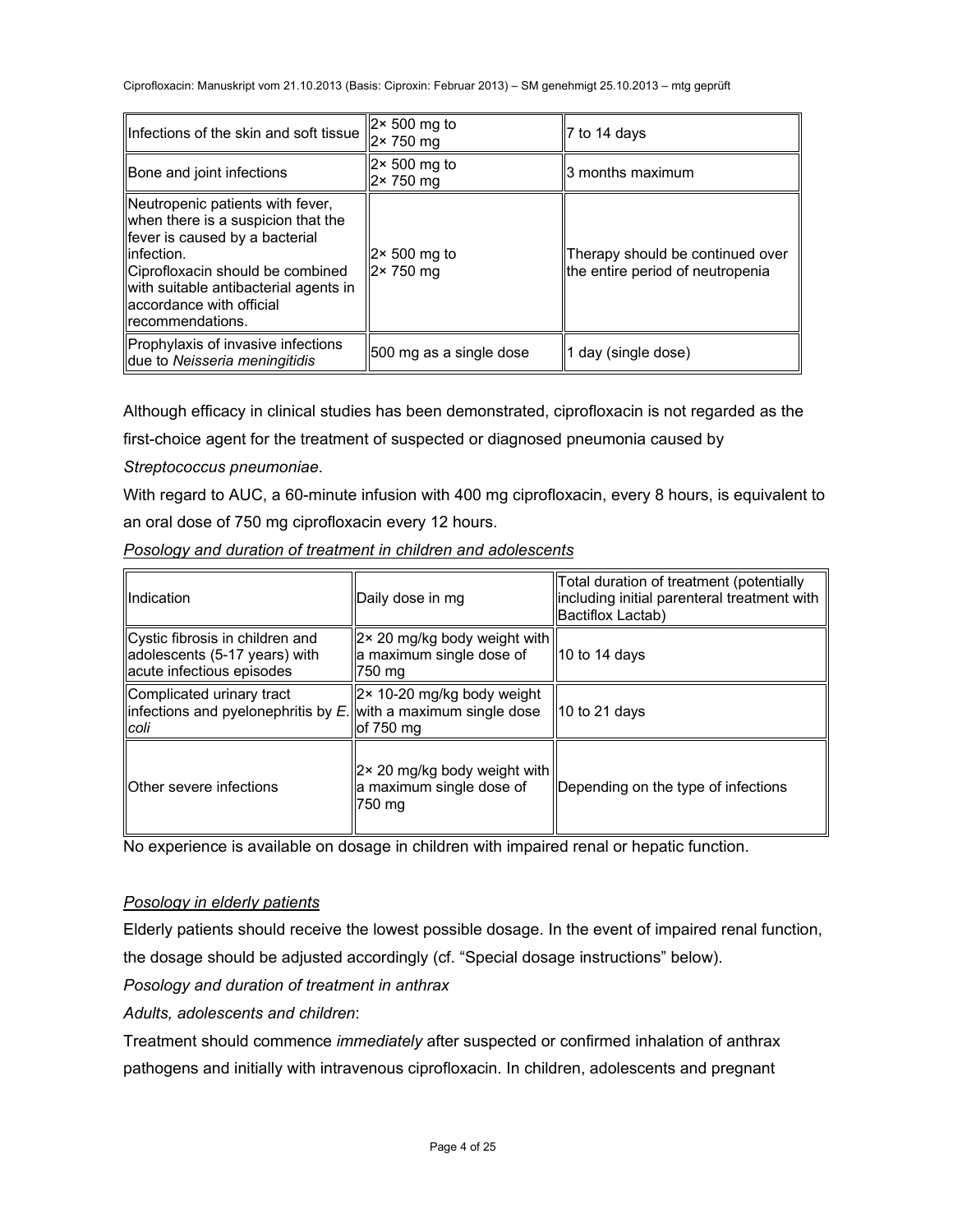| Infections of the skin and soft tissue                                                                                                                                                                                                                   | $\parallel$ 2× 500 mg to<br>$\sqrt{2}$ 750 mg | $ 7$ to 14 days                                                      |  |
|----------------------------------------------------------------------------------------------------------------------------------------------------------------------------------------------------------------------------------------------------------|-----------------------------------------------|----------------------------------------------------------------------|--|
| Bone and joint infections                                                                                                                                                                                                                                | $2 \times 500$ mg to<br>2× 750 mg             | ll3 months maximum                                                   |  |
| Neutropenic patients with fever,<br>when there is a suspicion that the<br>fever is caused by a bacterial<br>llinfection.<br>Ciprofloxacin should be combined<br>with suitable antibacterial agents in<br>llaccordance with official<br>Irecommendations. | $2 \times 500$ mg to<br>$2 \times 750$ mg     | Therapy should be continued over<br>the entire period of neutropenia |  |
| Prophylaxis of invasive infections<br>due to Neisseria meningitidis                                                                                                                                                                                      | 500 mg as a single dose                       | day (single dose)                                                    |  |

Although efficacy in clinical studies has been demonstrated, ciprofloxacin is not regarded as the

first-choice agent for the treatment of suspected or diagnosed pneumonia caused by

*Streptococcus pneumoniae*.

With regard to AUC, a 60-minute infusion with 400 mg ciprofloxacin, every 8 hours, is equivalent to an oral dose of 750 mg ciprofloxacin every 12 hours.

| <b>Il</b> ndication                                                                                      | Daily dose in mg                                                                                  | Total duration of treatment (potentially<br>lincluding initial parenteral treatment with<br>Bactiflox Lactab) |  |
|----------------------------------------------------------------------------------------------------------|---------------------------------------------------------------------------------------------------|---------------------------------------------------------------------------------------------------------------|--|
| Cystic fibrosis in children and<br>adolescents (5-17 years) with<br>acute infectious episodes            | $\left\vert 2 \times 20 \right\vert$ mg/kg body weight with<br>a maximum single dose of<br>750 mg | $\parallel$ 10 to 14 days                                                                                     |  |
| Complicated urinary tract<br>$\ $ infections and pyelonephritis by E. with a maximum single dose<br>coli | $\left 2 \times 10\text{-}20 \right $ mg/kg body weight<br>of 750 mg                              | $\parallel$ 10 to 21 days                                                                                     |  |
| <b>IIOther severe infections</b>                                                                         | $\left 2 \times 20 \right $ mg/kg body weight with<br>a maximum single dose of<br>750 ma          | Depending on the type of infections                                                                           |  |

*Posology and duration of treatment in children and adolescents* 

No experience is available on dosage in children with impaired renal or hepatic function.

# *Posology in elderly patients*

Elderly patients should receive the lowest possible dosage. In the event of impaired renal function,

the dosage should be adjusted accordingly (cf. "Special dosage instructions" below).

*Posology and duration of treatment in anthrax* 

*Adults, adolescents and children*:

Treatment should commence *immediately* after suspected or confirmed inhalation of anthrax pathogens and initially with intravenous ciprofloxacin. In children, adolescents and pregnant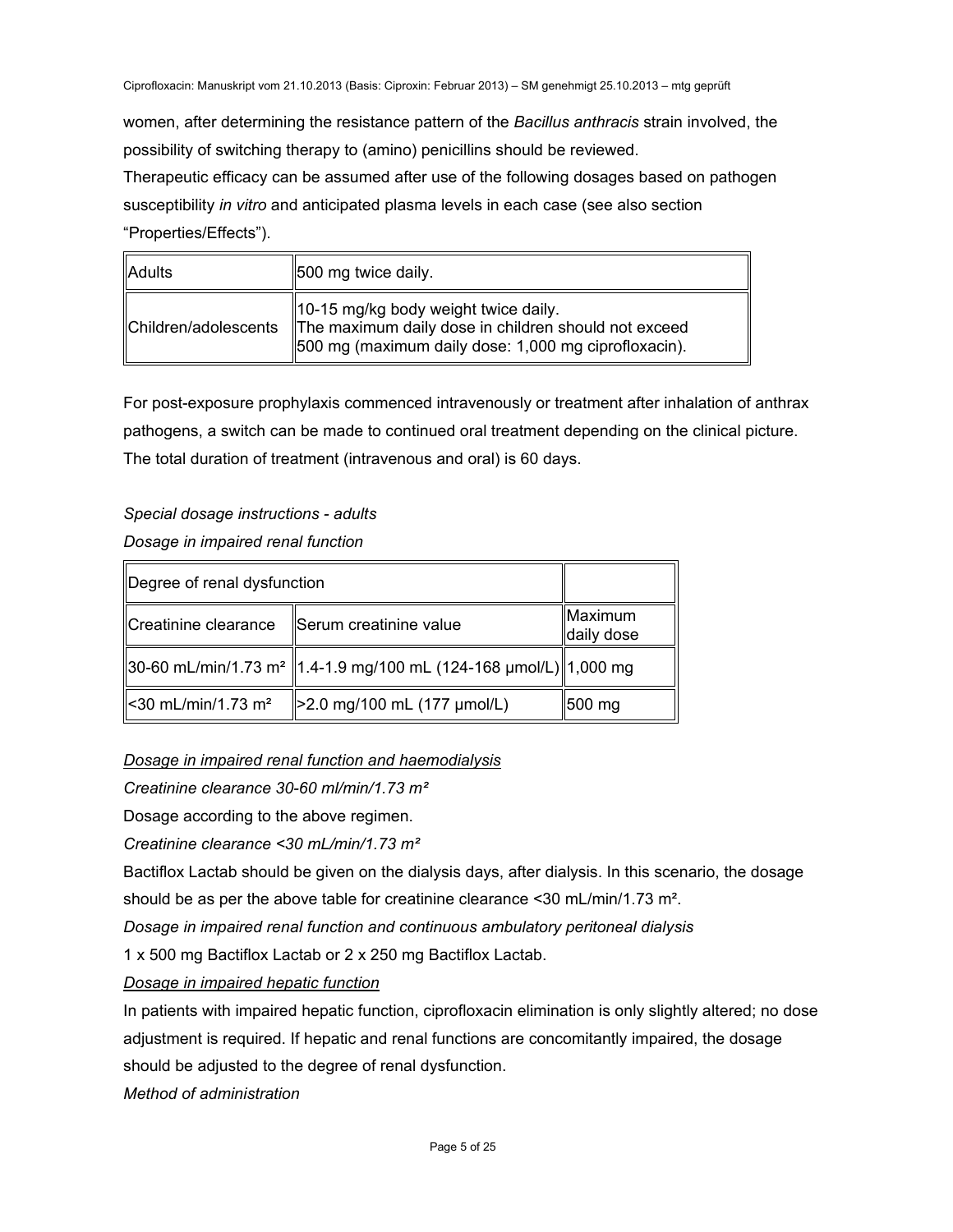women, after determining the resistance pattern of the *Bacillus anthracis* strain involved, the possibility of switching therapy to (amino) penicillins should be reviewed.

Therapeutic efficacy can be assumed after use of the following dosages based on pathogen susceptibility *in vitro* and anticipated plasma levels in each case (see also section "Properties/Effects").

| <b>Adults</b>        | [500 mg twice daily.                                                                                                                                 |
|----------------------|------------------------------------------------------------------------------------------------------------------------------------------------------|
| Children/adolescents | 10-15 mg/kg body weight twice daily.<br>The maximum daily dose in children should not exceed<br>500 mg (maximum daily dose: 1,000 mg ciprofloxacin). |

For post-exposure prophylaxis commenced intravenously or treatment after inhalation of anthrax pathogens, a switch can be made to continued oral treatment depending on the clinical picture. The total duration of treatment (intravenous and oral) is 60 days.

# *Special dosage instructions - adults*

# *Dosage in impaired renal function*

| Degree of renal dysfunction                                                     |                             |                       |
|---------------------------------------------------------------------------------|-----------------------------|-----------------------|
| Creatinine clearance  Serum creatinine value                                    |                             | Maximum<br>daily dose |
| 30-60 mL/min/1.73 m <sup>2</sup>   1.4-1.9 mg/100 mL (124-168 μmol/L)  1,000 mg |                             |                       |
| $\leq 30$ mL/min/1.73 m <sup>2</sup>                                            | >2.0 mg/100 mL (177 µmol/L) | $ 500 \text{ mg} $    |

*Dosage in impaired renal function and haemodialysis*

*Creatinine clearance 30-60 ml/min/1.73 m²* 

Dosage according to the above regimen.

*Creatinine clearance <30 mL/min/1.73 m²* 

Bactiflox Lactab should be given on the dialysis days, after dialysis. In this scenario, the dosage

should be as per the above table for creatinine clearance <30 mL/min/1.73 m².

*Dosage in impaired renal function and continuous ambulatory peritoneal dialysis* 

1 x 500 mg Bactiflox Lactab or 2 x 250 mg Bactiflox Lactab.

*Dosage in impaired hepatic function* 

In patients with impaired hepatic function, ciprofloxacin elimination is only slightly altered; no dose adjustment is required. If hepatic and renal functions are concomitantly impaired, the dosage should be adjusted to the degree of renal dysfunction.

*Method of administration*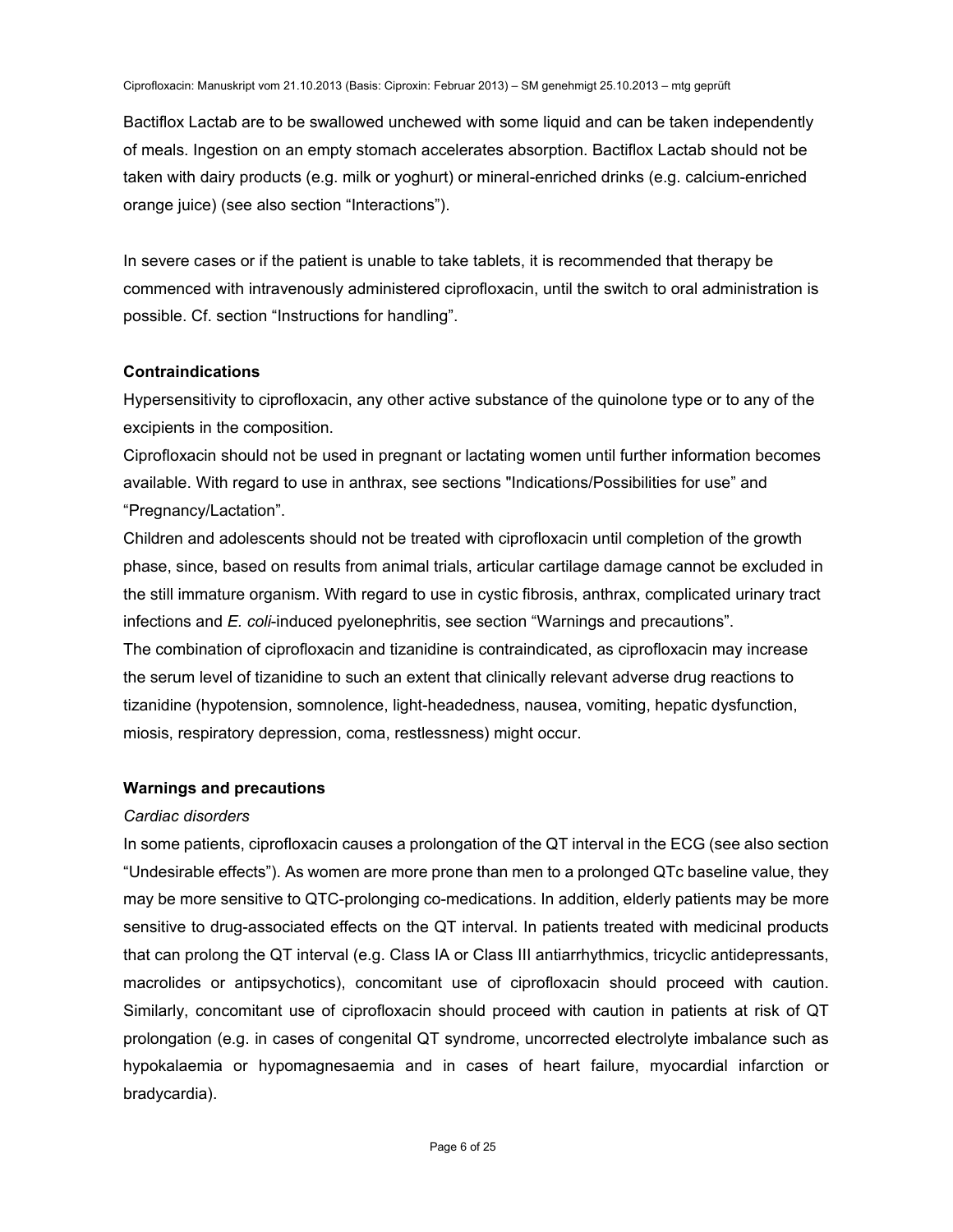Bactiflox Lactab are to be swallowed unchewed with some liquid and can be taken independently of meals. Ingestion on an empty stomach accelerates absorption. Bactiflox Lactab should not be taken with dairy products (e.g. milk or yoghurt) or mineral-enriched drinks (e.g. calcium-enriched orange juice) (see also section "Interactions").

In severe cases or if the patient is unable to take tablets, it is recommended that therapy be commenced with intravenously administered ciprofloxacin, until the switch to oral administration is possible. Cf. section "Instructions for handling".

### **Contraindications**

Hypersensitivity to ciprofloxacin, any other active substance of the quinolone type or to any of the excipients in the composition.

Ciprofloxacin should not be used in pregnant or lactating women until further information becomes available. With regard to use in anthrax, see sections "Indications/Possibilities for use" and "Pregnancy/Lactation".

Children and adolescents should not be treated with ciprofloxacin until completion of the growth phase, since, based on results from animal trials, articular cartilage damage cannot be excluded in the still immature organism. With regard to use in cystic fibrosis, anthrax, complicated urinary tract infections and *E. coli*-induced pyelonephritis, see section "Warnings and precautions".

The combination of ciprofloxacin and tizanidine is contraindicated, as ciprofloxacin may increase the serum level of tizanidine to such an extent that clinically relevant adverse drug reactions to tizanidine (hypotension, somnolence, light-headedness, nausea, vomiting, hepatic dysfunction, miosis, respiratory depression, coma, restlessness) might occur.

### **Warnings and precautions**

### *Cardiac disorders*

In some patients, ciprofloxacin causes a prolongation of the QT interval in the ECG (see also section "Undesirable effects"). As women are more prone than men to a prolonged QTc baseline value, they may be more sensitive to QTC-prolonging co-medications. In addition, elderly patients may be more sensitive to drug-associated effects on the QT interval. In patients treated with medicinal products that can prolong the QT interval (e.g. Class IA or Class III antiarrhythmics, tricyclic antidepressants, macrolides or antipsychotics), concomitant use of ciprofloxacin should proceed with caution. Similarly, concomitant use of ciprofloxacin should proceed with caution in patients at risk of QT prolongation (e.g. in cases of congenital QT syndrome, uncorrected electrolyte imbalance such as hypokalaemia or hypomagnesaemia and in cases of heart failure, myocardial infarction or bradycardia).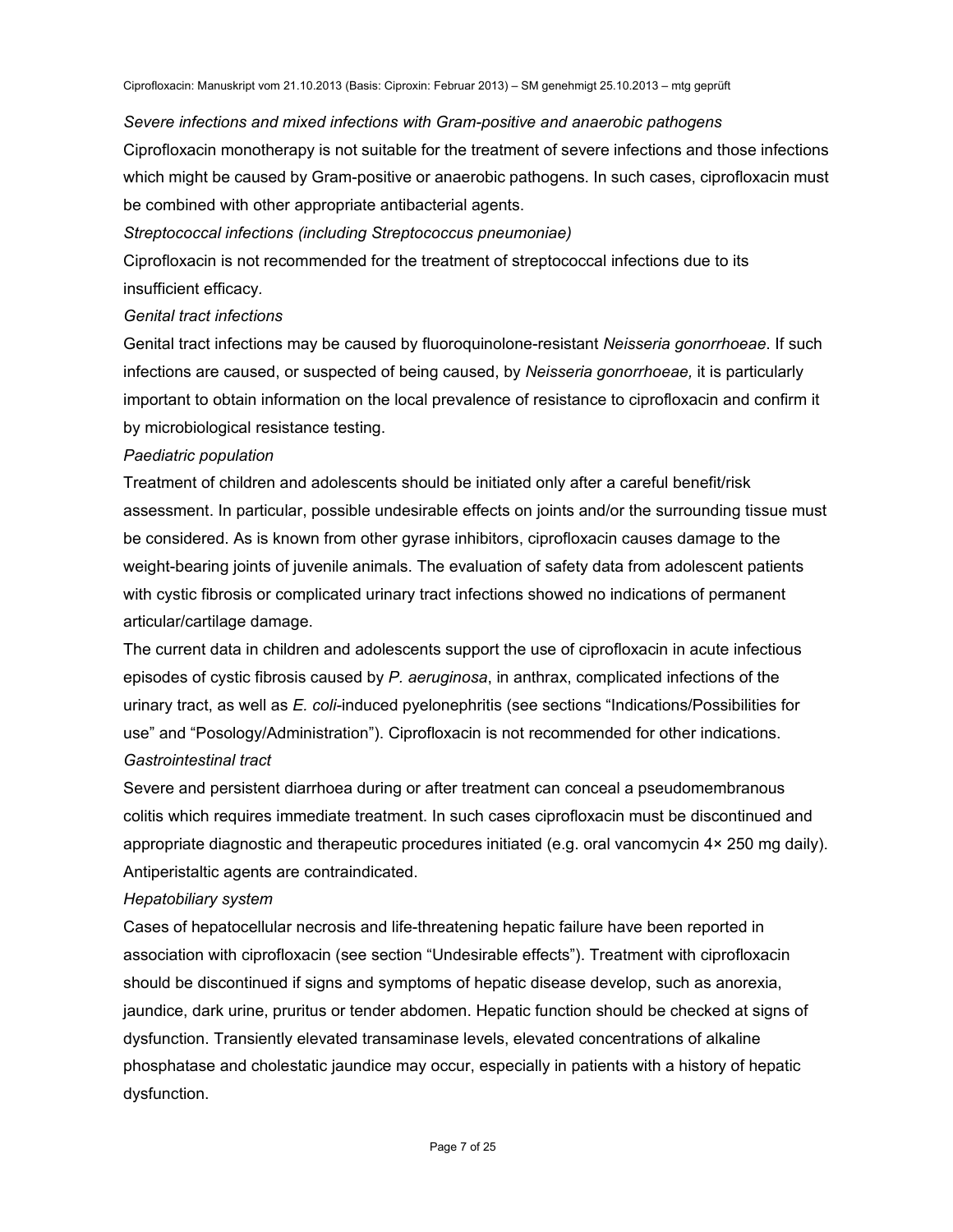#### *Severe infections and mixed infections with Gram-positive and anaerobic pathogens*

Ciprofloxacin monotherapy is not suitable for the treatment of severe infections and those infections which might be caused by Gram-positive or anaerobic pathogens. In such cases, ciprofloxacin must be combined with other appropriate antibacterial agents.

*Streptococcal infections (including Streptococcus pneumoniae)* 

Ciprofloxacin is not recommended for the treatment of streptococcal infections due to its insufficient efficacy*.*

#### *Genital tract infections*

Genital tract infections may be caused by fluoroquinolone-resistant *Neisseria gonorrhoeae*. If such infections are caused, or suspected of being caused, by *Neisseria gonorrhoeae,* it is particularly important to obtain information on the local prevalence of resistance to ciprofloxacin and confirm it by microbiological resistance testing.

#### *Paediatric population*

Treatment of children and adolescents should be initiated only after a careful benefit/risk assessment. In particular, possible undesirable effects on joints and/or the surrounding tissue must be considered. As is known from other gyrase inhibitors, ciprofloxacin causes damage to the weight-bearing joints of juvenile animals. The evaluation of safety data from adolescent patients with cystic fibrosis or complicated urinary tract infections showed no indications of permanent articular/cartilage damage.

The current data in children and adolescents support the use of ciprofloxacin in acute infectious episodes of cystic fibrosis caused by *P. aeruginosa*, in anthrax, complicated infections of the urinary tract, as well as *E. coli-*induced pyelonephritis (see sections "Indications/Possibilities for use" and "Posology/Administration"). Ciprofloxacin is not recommended for other indications. *Gastrointestinal tract* 

Severe and persistent diarrhoea during or after treatment can conceal a pseudomembranous colitis which requires immediate treatment. In such cases ciprofloxacin must be discontinued and appropriate diagnostic and therapeutic procedures initiated (e.g. oral vancomycin 4× 250 mg daily). Antiperistaltic agents are contraindicated.

#### *Hepatobiliary system*

Cases of hepatocellular necrosis and life-threatening hepatic failure have been reported in association with ciprofloxacin (see section "Undesirable effects"). Treatment with ciprofloxacin should be discontinued if signs and symptoms of hepatic disease develop, such as anorexia, jaundice, dark urine, pruritus or tender abdomen. Hepatic function should be checked at signs of dysfunction. Transiently elevated transaminase levels, elevated concentrations of alkaline phosphatase and cholestatic jaundice may occur, especially in patients with a history of hepatic dysfunction.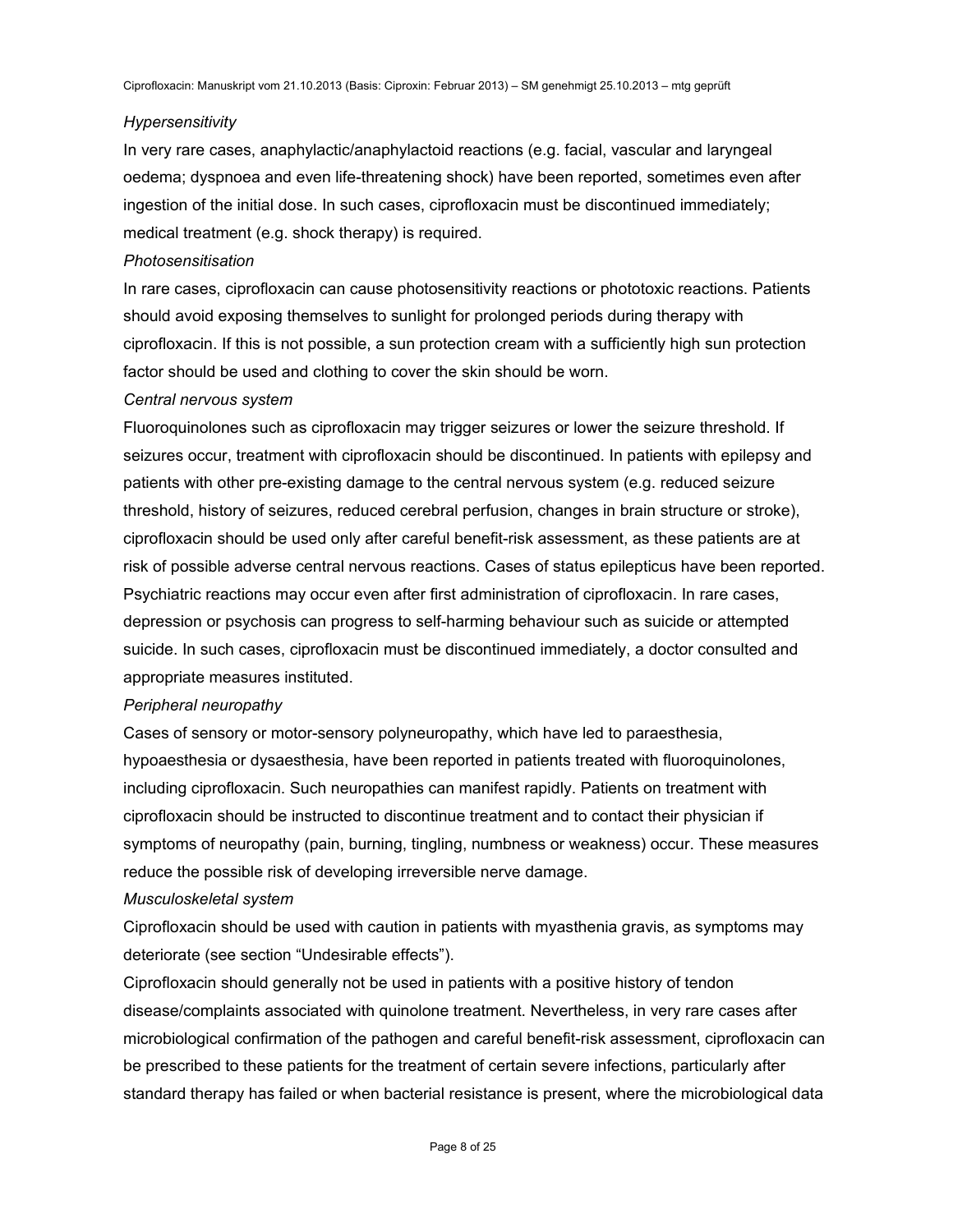#### *Hypersensitivity*

In very rare cases, anaphylactic/anaphylactoid reactions (e.g. facial, vascular and laryngeal oedema; dyspnoea and even life-threatening shock) have been reported, sometimes even after ingestion of the initial dose. In such cases, ciprofloxacin must be discontinued immediately; medical treatment (e.g. shock therapy) is required.

#### *Photosensitisation*

In rare cases, ciprofloxacin can cause photosensitivity reactions or phototoxic reactions. Patients should avoid exposing themselves to sunlight for prolonged periods during therapy with ciprofloxacin. If this is not possible, a sun protection cream with a sufficiently high sun protection factor should be used and clothing to cover the skin should be worn.

#### *Central nervous system*

Fluoroquinolones such as ciprofloxacin may trigger seizures or lower the seizure threshold. If seizures occur, treatment with ciprofloxacin should be discontinued. In patients with epilepsy and patients with other pre-existing damage to the central nervous system (e.g. reduced seizure threshold, history of seizures, reduced cerebral perfusion, changes in brain structure or stroke), ciprofloxacin should be used only after careful benefit-risk assessment, as these patients are at risk of possible adverse central nervous reactions. Cases of status epilepticus have been reported. Psychiatric reactions may occur even after first administration of ciprofloxacin. In rare cases, depression or psychosis can progress to self-harming behaviour such as suicide or attempted suicide. In such cases, ciprofloxacin must be discontinued immediately, a doctor consulted and appropriate measures instituted.

#### *Peripheral neuropathy*

Cases of sensory or motor-sensory polyneuropathy, which have led to paraesthesia, hypoaesthesia or dysaesthesia, have been reported in patients treated with fluoroquinolones, including ciprofloxacin. Such neuropathies can manifest rapidly. Patients on treatment with ciprofloxacin should be instructed to discontinue treatment and to contact their physician if symptoms of neuropathy (pain, burning, tingling, numbness or weakness) occur. These measures reduce the possible risk of developing irreversible nerve damage.

#### *Musculoskeletal system*

Ciprofloxacin should be used with caution in patients with myasthenia gravis, as symptoms may deteriorate (see section "Undesirable effects").

Ciprofloxacin should generally not be used in patients with a positive history of tendon disease/complaints associated with quinolone treatment. Nevertheless, in very rare cases after microbiological confirmation of the pathogen and careful benefit-risk assessment, ciprofloxacin can be prescribed to these patients for the treatment of certain severe infections, particularly after standard therapy has failed or when bacterial resistance is present, where the microbiological data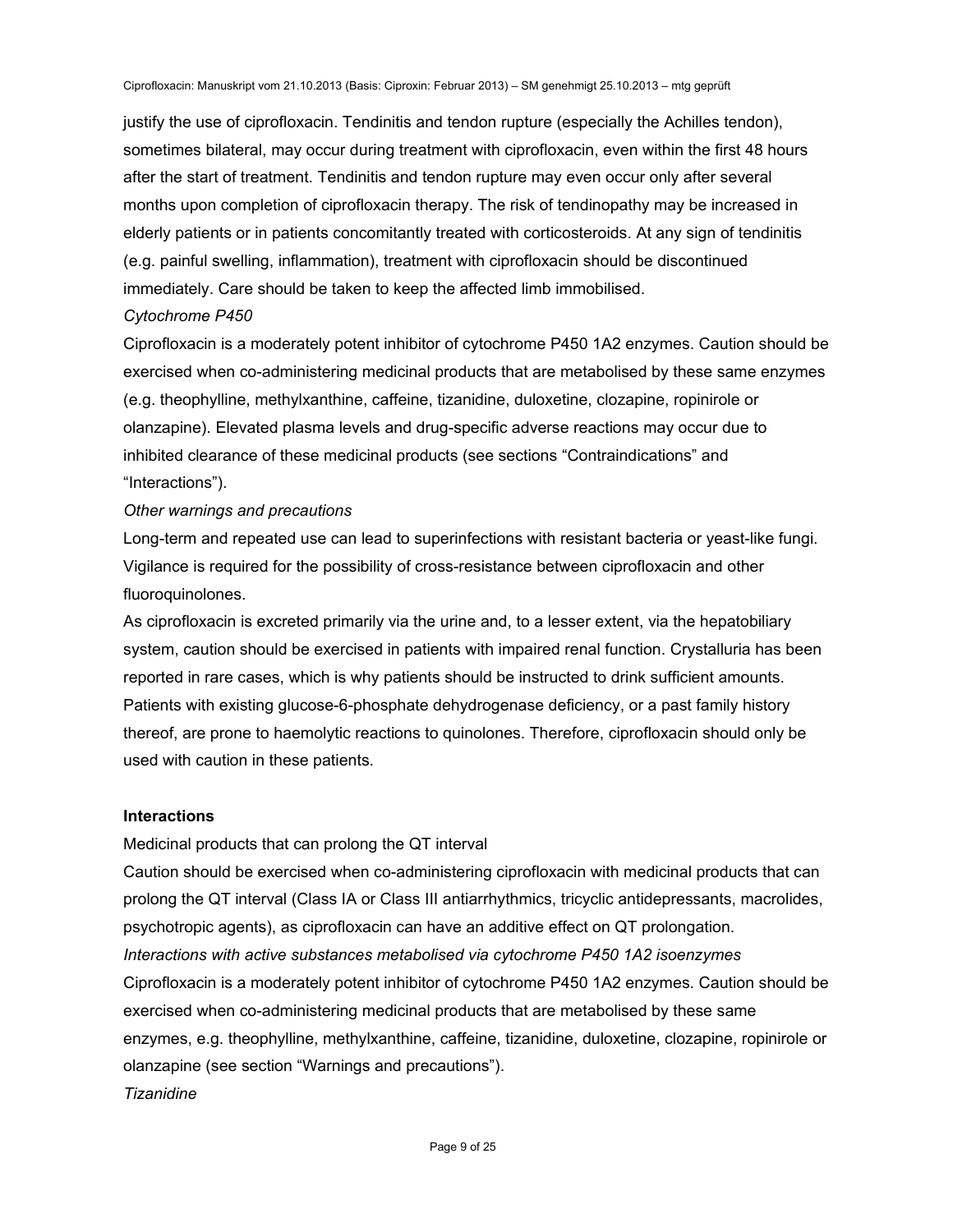justify the use of ciprofloxacin. Tendinitis and tendon rupture (especially the Achilles tendon), sometimes bilateral, may occur during treatment with ciprofloxacin, even within the first 48 hours after the start of treatment. Tendinitis and tendon rupture may even occur only after several months upon completion of ciprofloxacin therapy. The risk of tendinopathy may be increased in elderly patients or in patients concomitantly treated with corticosteroids. At any sign of tendinitis (e.g. painful swelling, inflammation), treatment with ciprofloxacin should be discontinued immediately. Care should be taken to keep the affected limb immobilised.

### *Cytochrome P450*

Ciprofloxacin is a moderately potent inhibitor of cytochrome P450 1A2 enzymes. Caution should be exercised when co-administering medicinal products that are metabolised by these same enzymes (e.g. theophylline, methylxanthine, caffeine, tizanidine, duloxetine, clozapine, ropinirole or olanzapine). Elevated plasma levels and drug-specific adverse reactions may occur due to inhibited clearance of these medicinal products (see sections "Contraindications" and "Interactions").

### *Other warnings and precautions*

Long-term and repeated use can lead to superinfections with resistant bacteria or yeast-like fungi. Vigilance is required for the possibility of cross-resistance between ciprofloxacin and other fluoroquinolones.

As ciprofloxacin is excreted primarily via the urine and, to a lesser extent, via the hepatobiliary system, caution should be exercised in patients with impaired renal function. Crystalluria has been reported in rare cases, which is why patients should be instructed to drink sufficient amounts. Patients with existing glucose-6-phosphate dehydrogenase deficiency, or a past family history thereof, are prone to haemolytic reactions to quinolones. Therefore, ciprofloxacin should only be used with caution in these patients.

### **Interactions**

Medicinal products that can prolong the QT interval

Caution should be exercised when co-administering ciprofloxacin with medicinal products that can prolong the QT interval (Class IA or Class III antiarrhythmics, tricyclic antidepressants, macrolides, psychotropic agents), as ciprofloxacin can have an additive effect on QT prolongation. *Interactions with active substances metabolised via cytochrome P450 1A2 isoenzymes*  Ciprofloxacin is a moderately potent inhibitor of cytochrome P450 1A2 enzymes. Caution should be exercised when co-administering medicinal products that are metabolised by these same enzymes, e.g. theophylline, methylxanthine, caffeine, tizanidine, duloxetine, clozapine, ropinirole or olanzapine (see section "Warnings and precautions"). *Tizanidine*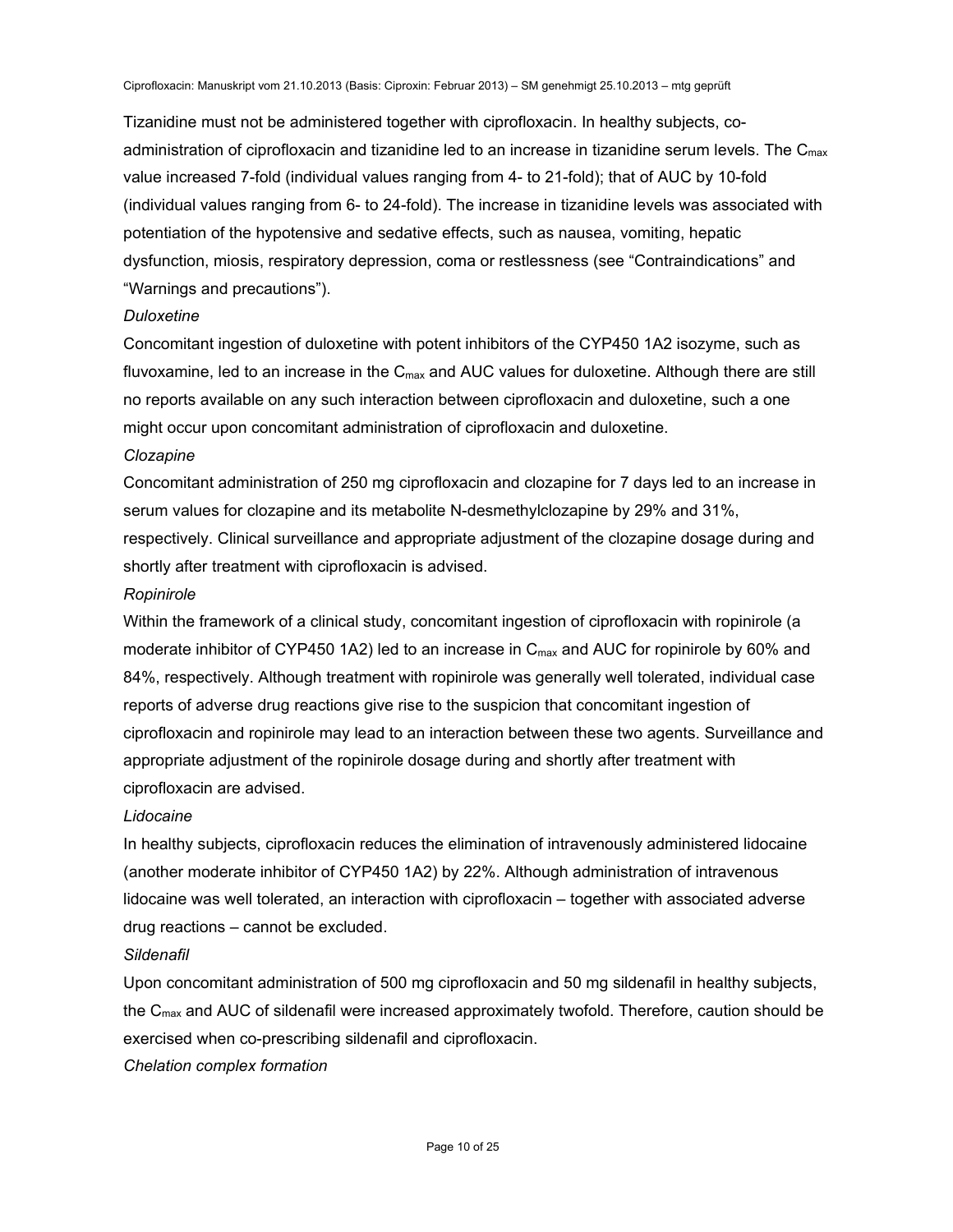Tizanidine must not be administered together with ciprofloxacin. In healthy subjects, coadministration of ciprofloxacin and tizanidine led to an increase in tizanidine serum levels. The  $C_{\text{max}}$ value increased 7-fold (individual values ranging from 4- to 21-fold); that of AUC by 10-fold (individual values ranging from 6- to 24-fold). The increase in tizanidine levels was associated with potentiation of the hypotensive and sedative effects, such as nausea, vomiting, hepatic dysfunction, miosis, respiratory depression, coma or restlessness (see "Contraindications" and "Warnings and precautions").

#### *Duloxetine*

Concomitant ingestion of duloxetine with potent inhibitors of the CYP450 1A2 isozyme, such as fluvoxamine, led to an increase in the  $C_{\text{max}}$  and AUC values for duloxetine. Although there are still no reports available on any such interaction between ciprofloxacin and duloxetine, such a one might occur upon concomitant administration of ciprofloxacin and duloxetine.

#### *Clozapine*

Concomitant administration of 250 mg ciprofloxacin and clozapine for 7 days led to an increase in serum values for clozapine and its metabolite N-desmethylclozapine by 29% and 31%, respectively. Clinical surveillance and appropriate adjustment of the clozapine dosage during and shortly after treatment with ciprofloxacin is advised.

#### *Ropinirole*

Within the framework of a clinical study, concomitant ingestion of ciprofloxacin with ropinirole (a moderate inhibitor of CYP450 1A2) led to an increase in  $C_{\text{max}}$  and AUC for ropinirole by 60% and 84%, respectively. Although treatment with ropinirole was generally well tolerated, individual case reports of adverse drug reactions give rise to the suspicion that concomitant ingestion of ciprofloxacin and ropinirole may lead to an interaction between these two agents. Surveillance and appropriate adjustment of the ropinirole dosage during and shortly after treatment with ciprofloxacin are advised.

### *Lidocaine*

In healthy subjects, ciprofloxacin reduces the elimination of intravenously administered lidocaine (another moderate inhibitor of CYP450 1A2) by 22%. Although administration of intravenous lidocaine was well tolerated, an interaction with ciprofloxacin – together with associated adverse drug reactions – cannot be excluded.

### *Sildenafil*

Upon concomitant administration of 500 mg ciprofloxacin and 50 mg sildenafil in healthy subjects, the  $C_{\text{max}}$  and AUC of sildenafil were increased approximately twofold. Therefore, caution should be exercised when co-prescribing sildenafil and ciprofloxacin.

### *Chelation complex formation*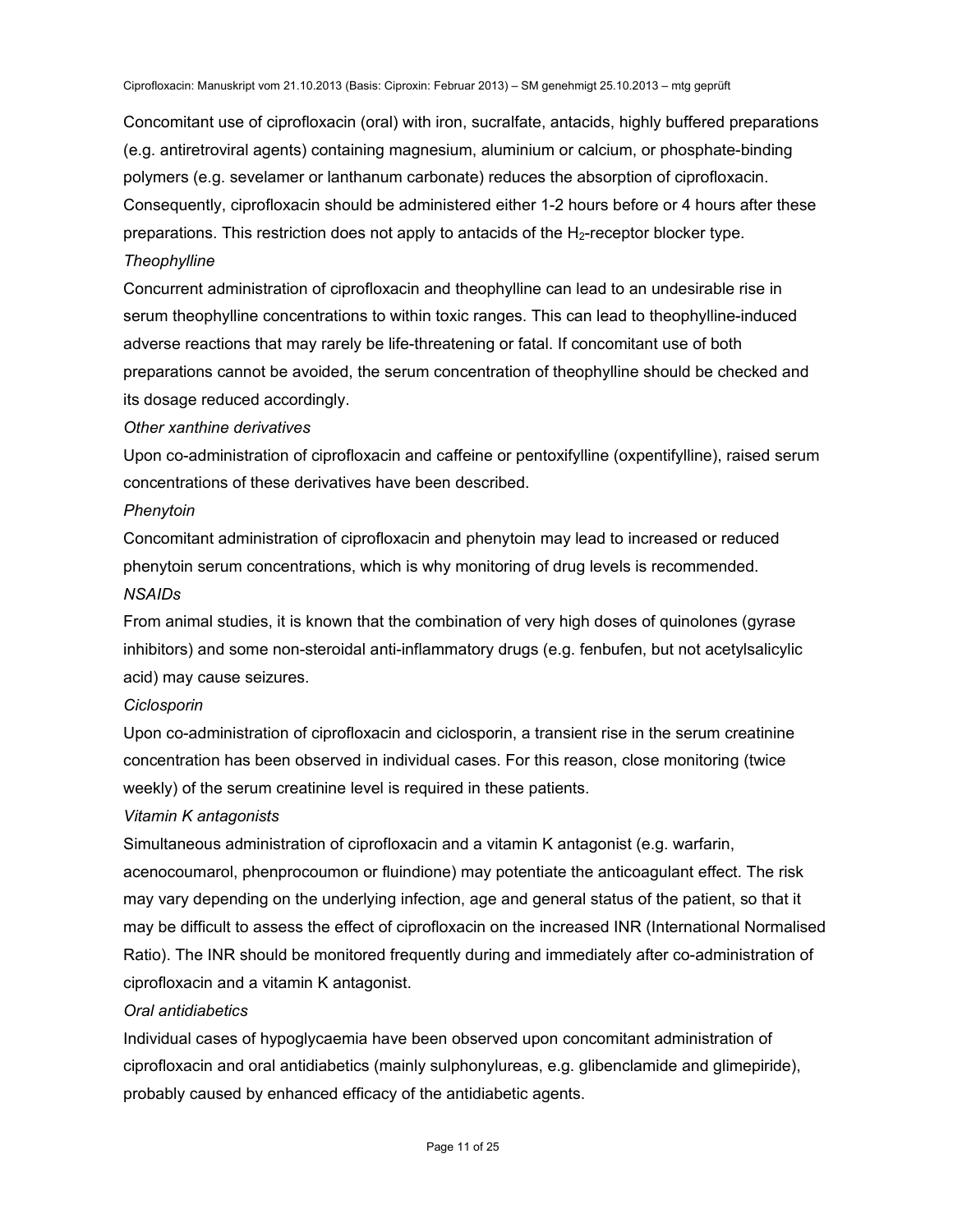Concomitant use of ciprofloxacin (oral) with iron, sucralfate, antacids, highly buffered preparations (e.g. antiretroviral agents) containing magnesium, aluminium or calcium, or phosphate-binding polymers (e.g. sevelamer or lanthanum carbonate) reduces the absorption of ciprofloxacin. Consequently, ciprofloxacin should be administered either 1-2 hours before or 4 hours after these preparations. This restriction does not apply to antacids of the H<sub>2</sub>-receptor blocker type. *Theophylline* 

Concurrent administration of ciprofloxacin and theophylline can lead to an undesirable rise in serum theophylline concentrations to within toxic ranges. This can lead to theophylline-induced adverse reactions that may rarely be life-threatening or fatal. If concomitant use of both preparations cannot be avoided, the serum concentration of theophylline should be checked and its dosage reduced accordingly.

### *Other xanthine derivatives*

Upon co-administration of ciprofloxacin and caffeine or pentoxifylline (oxpentifylline), raised serum concentrations of these derivatives have been described.

#### *Phenytoin*

Concomitant administration of ciprofloxacin and phenytoin may lead to increased or reduced phenytoin serum concentrations, which is why monitoring of drug levels is recommended. *NSAIDs* 

From animal studies, it is known that the combination of very high doses of quinolones (gyrase inhibitors) and some non-steroidal anti-inflammatory drugs (e.g. fenbufen, but not acetylsalicylic acid) may cause seizures.

### *Ciclosporin*

Upon co-administration of ciprofloxacin and ciclosporin, a transient rise in the serum creatinine concentration has been observed in individual cases. For this reason, close monitoring (twice weekly) of the serum creatinine level is required in these patients.

### *Vitamin K antagonists*

Simultaneous administration of ciprofloxacin and a vitamin K antagonist (e.g. warfarin, acenocoumarol, phenprocoumon or fluindione) may potentiate the anticoagulant effect. The risk may vary depending on the underlying infection, age and general status of the patient, so that it may be difficult to assess the effect of ciprofloxacin on the increased INR (International Normalised Ratio). The INR should be monitored frequently during and immediately after co-administration of ciprofloxacin and a vitamin K antagonist.

### *Oral antidiabetics*

Individual cases of hypoglycaemia have been observed upon concomitant administration of ciprofloxacin and oral antidiabetics (mainly sulphonylureas, e.g. glibenclamide and glimepiride), probably caused by enhanced efficacy of the antidiabetic agents.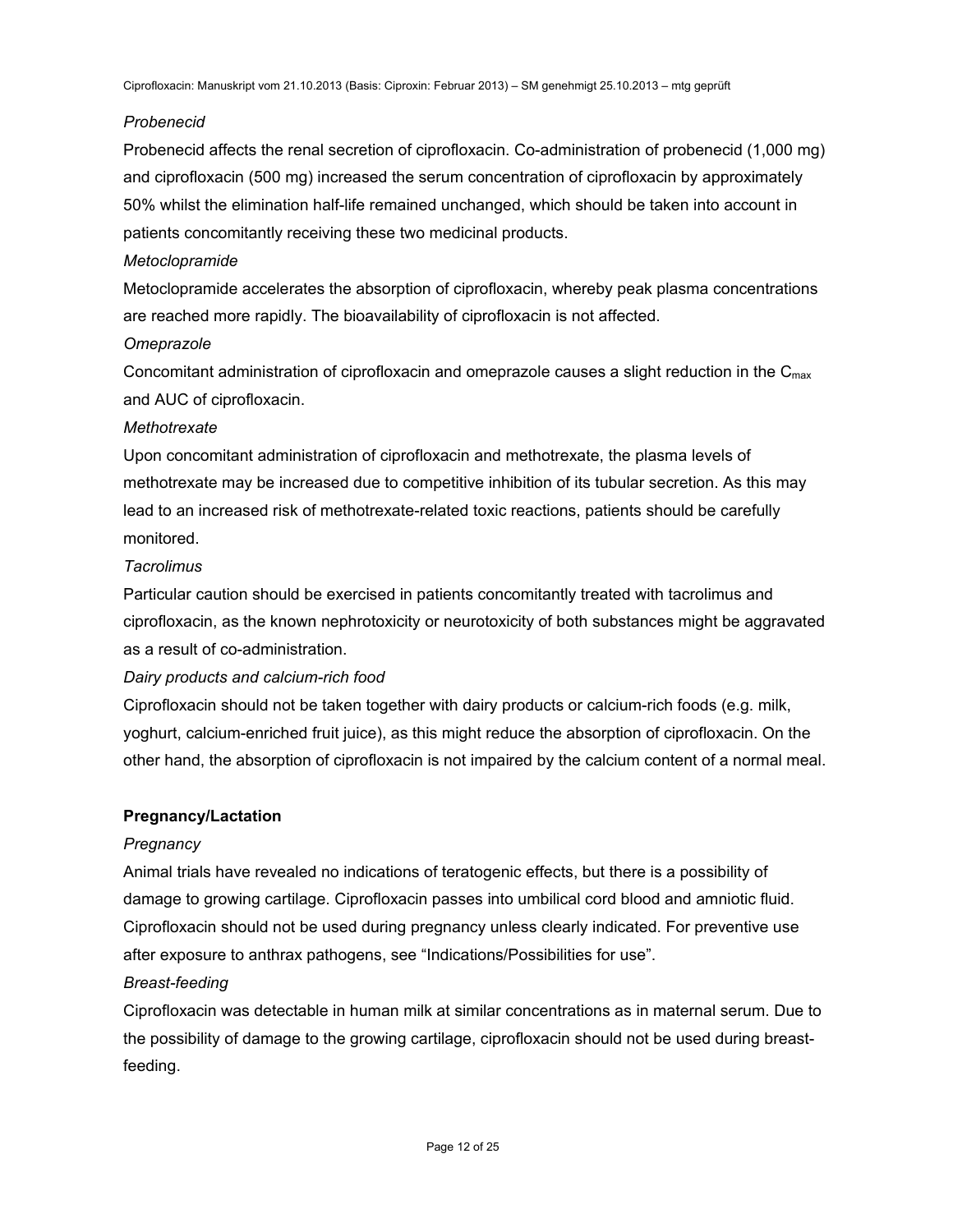### *Probenecid*

Probenecid affects the renal secretion of ciprofloxacin. Co-administration of probenecid (1,000 mg) and ciprofloxacin (500 mg) increased the serum concentration of ciprofloxacin by approximately 50% whilst the elimination half-life remained unchanged, which should be taken into account in patients concomitantly receiving these two medicinal products.

### *Metoclopramide*

Metoclopramide accelerates the absorption of ciprofloxacin, whereby peak plasma concentrations are reached more rapidly. The bioavailability of ciprofloxacin is not affected.

### *Omeprazole*

Concomitant administration of ciprofloxacin and omeprazole causes a slight reduction in the  $C_{\text{max}}$ and AUC of ciprofloxacin.

### *Methotrexate*

Upon concomitant administration of ciprofloxacin and methotrexate, the plasma levels of methotrexate may be increased due to competitive inhibition of its tubular secretion. As this may lead to an increased risk of methotrexate-related toxic reactions, patients should be carefully monitored.

### *Tacrolimus*

Particular caution should be exercised in patients concomitantly treated with tacrolimus and ciprofloxacin, as the known nephrotoxicity or neurotoxicity of both substances might be aggravated as a result of co-administration.

# *Dairy products and calcium-rich food*

Ciprofloxacin should not be taken together with dairy products or calcium-rich foods (e.g. milk, yoghurt, calcium-enriched fruit juice), as this might reduce the absorption of ciprofloxacin. On the other hand, the absorption of ciprofloxacin is not impaired by the calcium content of a normal meal.

### **Pregnancy/Lactation**

# *Pregnancy*

Animal trials have revealed no indications of teratogenic effects, but there is a possibility of damage to growing cartilage. Ciprofloxacin passes into umbilical cord blood and amniotic fluid. Ciprofloxacin should not be used during pregnancy unless clearly indicated. For preventive use after exposure to anthrax pathogens, see "Indications/Possibilities for use".

# *Breast-feeding*

Ciprofloxacin was detectable in human milk at similar concentrations as in maternal serum. Due to the possibility of damage to the growing cartilage, ciprofloxacin should not be used during breastfeeding.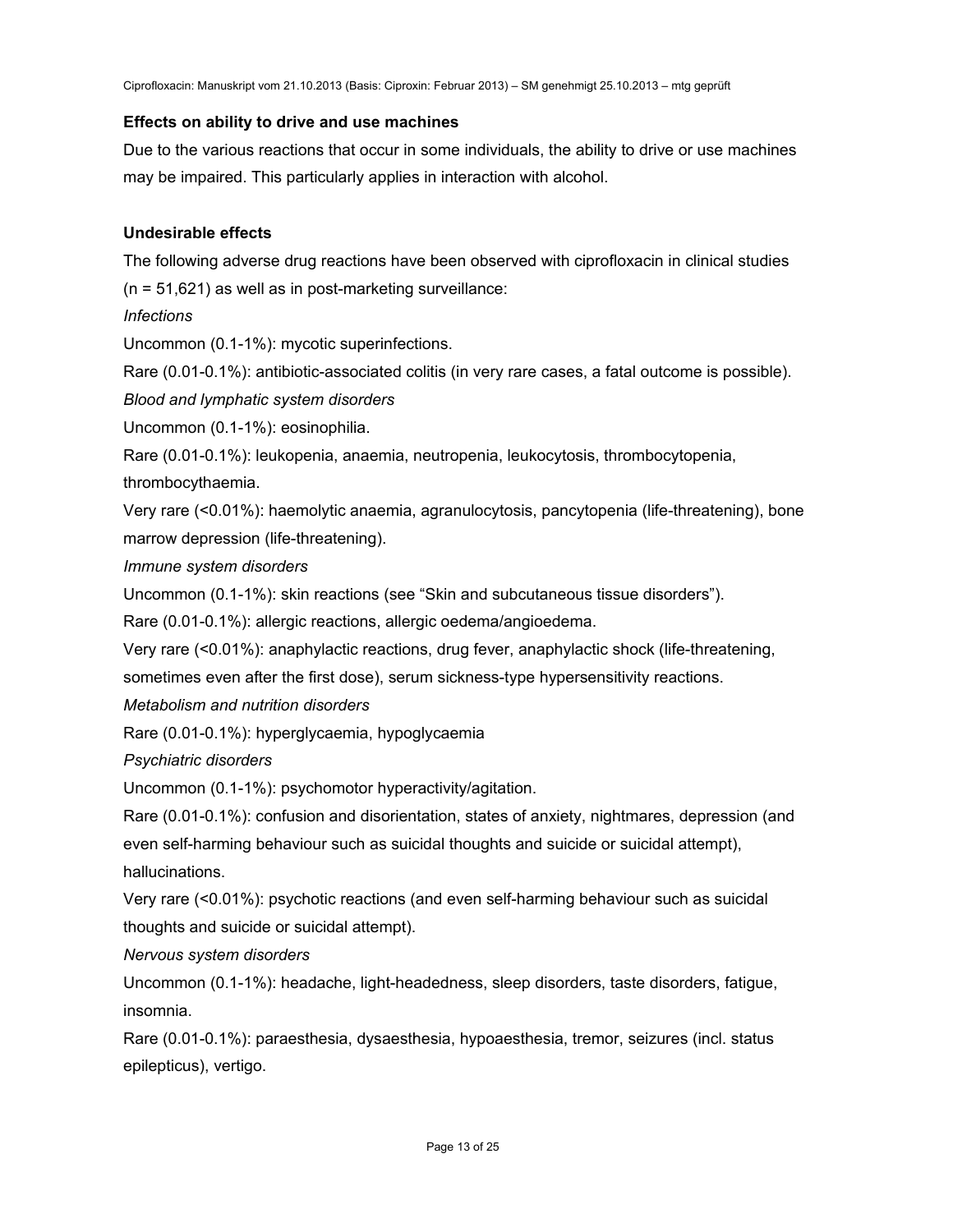### **Effects on ability to drive and use machines**

Due to the various reactions that occur in some individuals, the ability to drive or use machines may be impaired. This particularly applies in interaction with alcohol.

### **Undesirable effects**

The following adverse drug reactions have been observed with ciprofloxacin in clinical studies (n = 51,621) as well as in post-marketing surveillance:

*Infections* 

Uncommon (0.1-1%): mycotic superinfections.

Rare (0.01-0.1%): antibiotic-associated colitis (in very rare cases, a fatal outcome is possible). *Blood and lymphatic system disorders* 

Uncommon (0.1-1%): eosinophilia.

Rare (0.01-0.1%): leukopenia, anaemia, neutropenia, leukocytosis, thrombocytopenia,

thrombocythaemia.

Very rare (<0.01%): haemolytic anaemia, agranulocytosis, pancytopenia (life-threatening), bone marrow depression (life-threatening).

*Immune system disorders* 

Uncommon (0.1-1%): skin reactions (see "Skin and subcutaneous tissue disorders").

Rare (0.01-0.1%): allergic reactions, allergic oedema/angioedema.

Very rare (<0.01%): anaphylactic reactions, drug fever, anaphylactic shock (life-threatening, sometimes even after the first dose), serum sickness-type hypersensitivity reactions.

*Metabolism and nutrition disorders* 

Rare (0.01-0.1%): hyperglycaemia, hypoglycaemia

*Psychiatric disorders* 

Uncommon (0.1-1%): psychomotor hyperactivity/agitation.

Rare (0.01-0.1%): confusion and disorientation, states of anxiety, nightmares, depression (and even self-harming behaviour such as suicidal thoughts and suicide or suicidal attempt), hallucinations.

Very rare (<0.01%): psychotic reactions (and even self-harming behaviour such as suicidal thoughts and suicide or suicidal attempt).

*Nervous system disorders* 

Uncommon (0.1-1%): headache, light-headedness, sleep disorders, taste disorders, fatigue, insomnia.

Rare (0.01-0.1%): paraesthesia, dysaesthesia, hypoaesthesia, tremor, seizures (incl. status epilepticus), vertigo.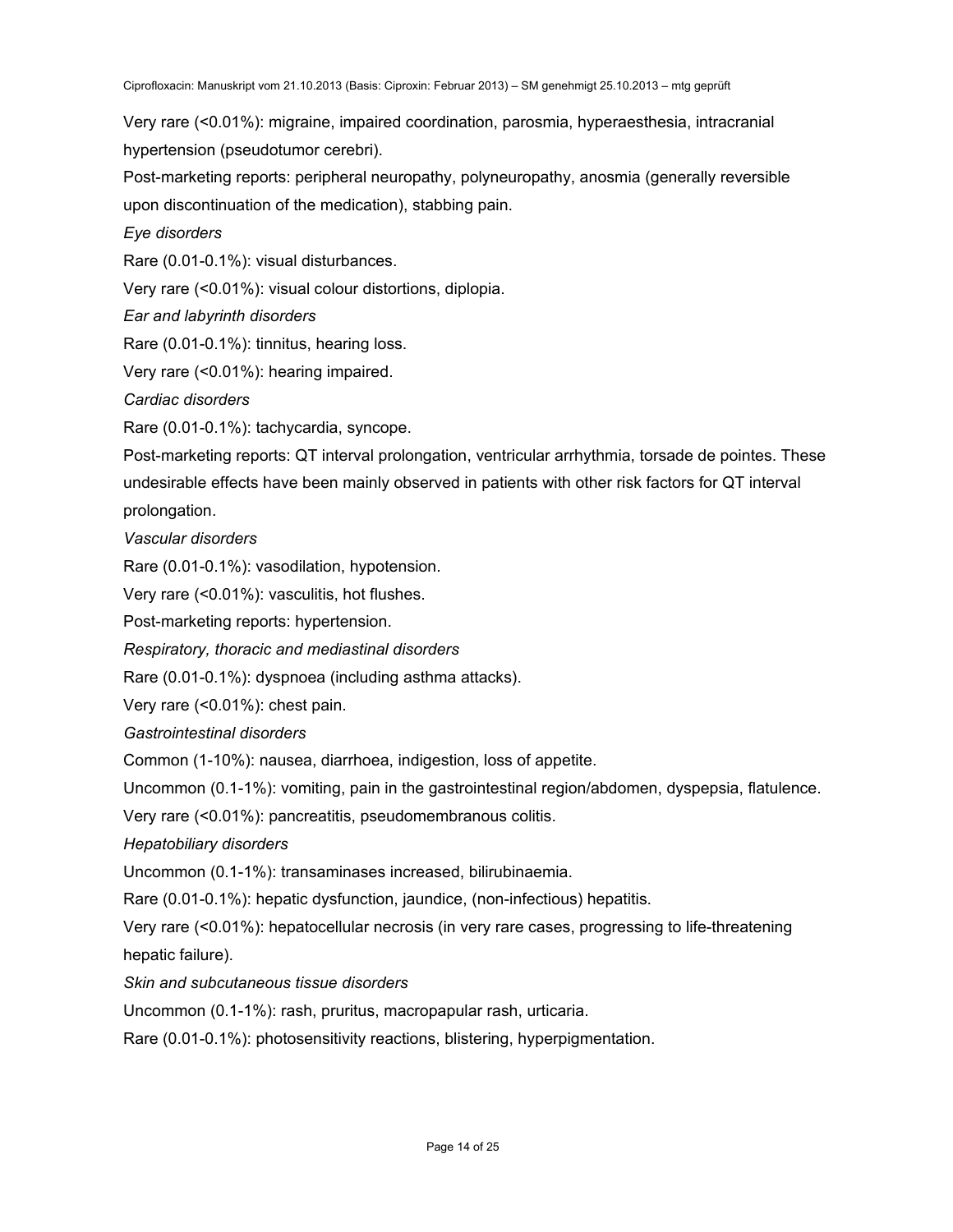Very rare (<0.01%): migraine, impaired coordination, parosmia, hyperaesthesia, intracranial hypertension (pseudotumor cerebri).

Post-marketing reports: peripheral neuropathy, polyneuropathy, anosmia (generally reversible upon discontinuation of the medication), stabbing pain.

*Eye disorders* 

Rare (0.01-0.1%): visual disturbances.

Very rare (<0.01%): visual colour distortions, diplopia.

*Ear and labyrinth disorders* 

Rare (0.01-0.1%): tinnitus, hearing loss.

Very rare (<0.01%): hearing impaired.

*Cardiac disorders* 

Rare (0.01-0.1%): tachycardia, syncope.

Post-marketing reports: QT interval prolongation, ventricular arrhythmia, torsade de pointes. These undesirable effects have been mainly observed in patients with other risk factors for QT interval prolongation.

*Vascular disorders* 

Rare (0.01-0.1%): vasodilation, hypotension.

Very rare (<0.01%): vasculitis, hot flushes.

Post-marketing reports: hypertension.

*Respiratory, thoracic and mediastinal disorders* 

Rare (0.01-0.1%): dyspnoea (including asthma attacks).

Very rare (<0.01%): chest pain.

*Gastrointestinal disorders* 

Common (1-10%): nausea, diarrhoea, indigestion, loss of appetite.

Uncommon (0.1-1%): vomiting, pain in the gastrointestinal region/abdomen, dyspepsia, flatulence.

Very rare (<0.01%): pancreatitis, pseudomembranous colitis.

*Hepatobiliary disorders* 

Uncommon (0.1-1%): transaminases increased, bilirubinaemia.

Rare (0.01-0.1%): hepatic dysfunction, jaundice, (non-infectious) hepatitis.

Very rare (<0.01%): hepatocellular necrosis (in very rare cases, progressing to life-threatening hepatic failure).

*Skin and subcutaneous tissue disorders* 

Uncommon (0.1-1%): rash, pruritus, macropapular rash, urticaria.

Rare (0.01-0.1%): photosensitivity reactions, blistering, hyperpigmentation.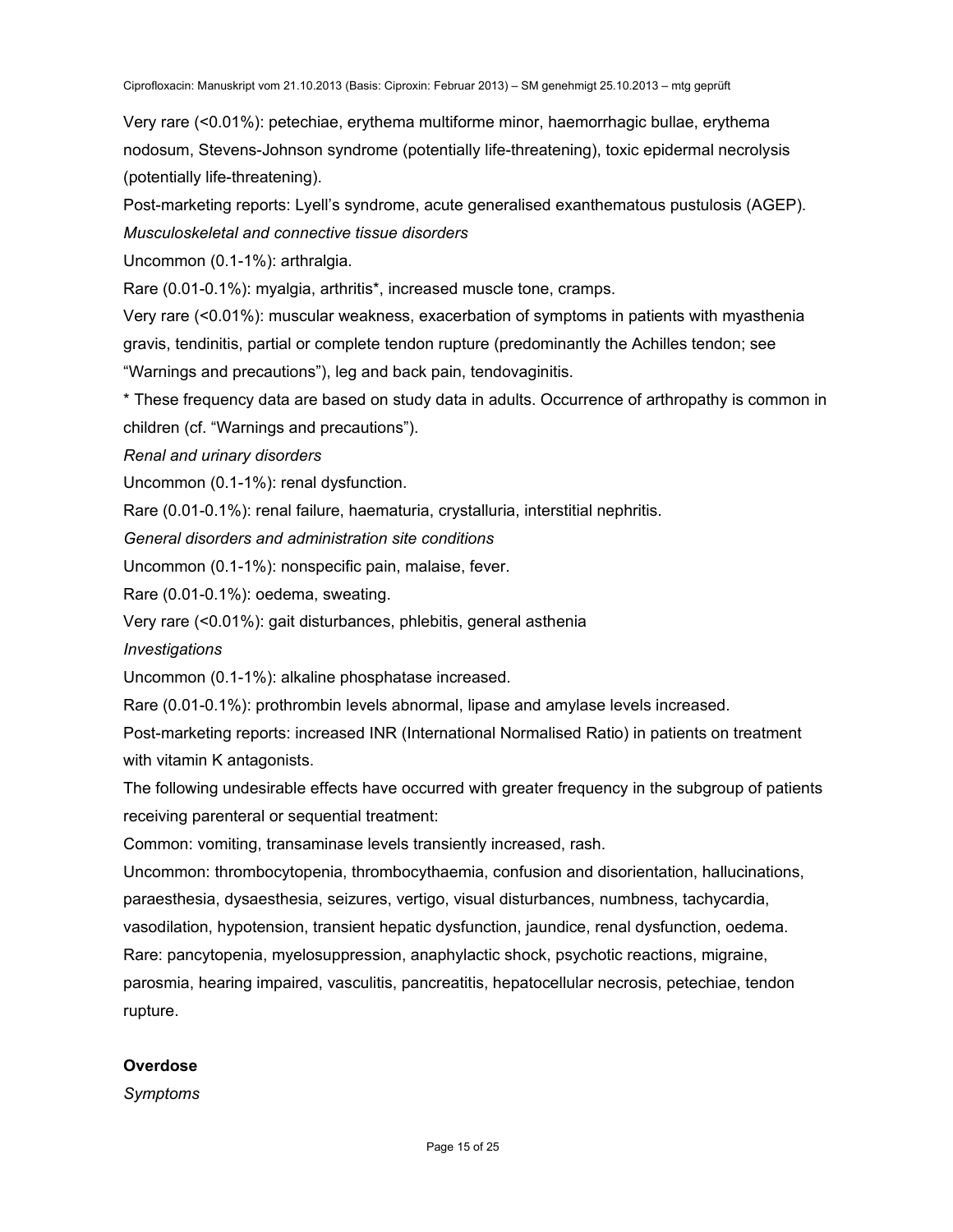Very rare (<0.01%): petechiae, erythema multiforme minor, haemorrhagic bullae, erythema nodosum, Stevens-Johnson syndrome (potentially life-threatening), toxic epidermal necrolysis (potentially life-threatening).

Post-marketing reports: Lyell's syndrome, acute generalised exanthematous pustulosis (AGEP). *Musculoskeletal and connective tissue disorders*

Uncommon (0.1-1%): arthralgia.

Rare (0.01-0.1%): myalgia, arthritis\*, increased muscle tone, cramps.

Very rare (<0.01%): muscular weakness, exacerbation of symptoms in patients with myasthenia gravis, tendinitis, partial or complete tendon rupture (predominantly the Achilles tendon; see "Warnings and precautions"), leg and back pain, tendovaginitis.

\* These frequency data are based on study data in adults. Occurrence of arthropathy is common in children (cf. "Warnings and precautions").

*Renal and urinary disorders* 

Uncommon (0.1-1%): renal dysfunction.

Rare (0.01-0.1%): renal failure, haematuria, crystalluria, interstitial nephritis.

*General disorders and administration site conditions* 

Uncommon (0.1-1%): nonspecific pain, malaise, fever.

Rare (0.01-0.1%): oedema, sweating.

Very rare (<0.01%): gait disturbances, phlebitis, general asthenia

*Investigations* 

Uncommon (0.1-1%): alkaline phosphatase increased.

Rare (0.01-0.1%): prothrombin levels abnormal, lipase and amylase levels increased.

Post-marketing reports: increased INR (International Normalised Ratio) in patients on treatment with vitamin K antagonists.

The following undesirable effects have occurred with greater frequency in the subgroup of patients receiving parenteral or sequential treatment:

Common: vomiting, transaminase levels transiently increased, rash.

Uncommon: thrombocytopenia, thrombocythaemia, confusion and disorientation, hallucinations, paraesthesia, dysaesthesia, seizures, vertigo, visual disturbances, numbness, tachycardia, vasodilation, hypotension, transient hepatic dysfunction, jaundice, renal dysfunction, oedema. Rare: pancytopenia, myelosuppression, anaphylactic shock, psychotic reactions, migraine, parosmia, hearing impaired, vasculitis, pancreatitis, hepatocellular necrosis, petechiae, tendon rupture.

# **Overdose**

*Symptoms*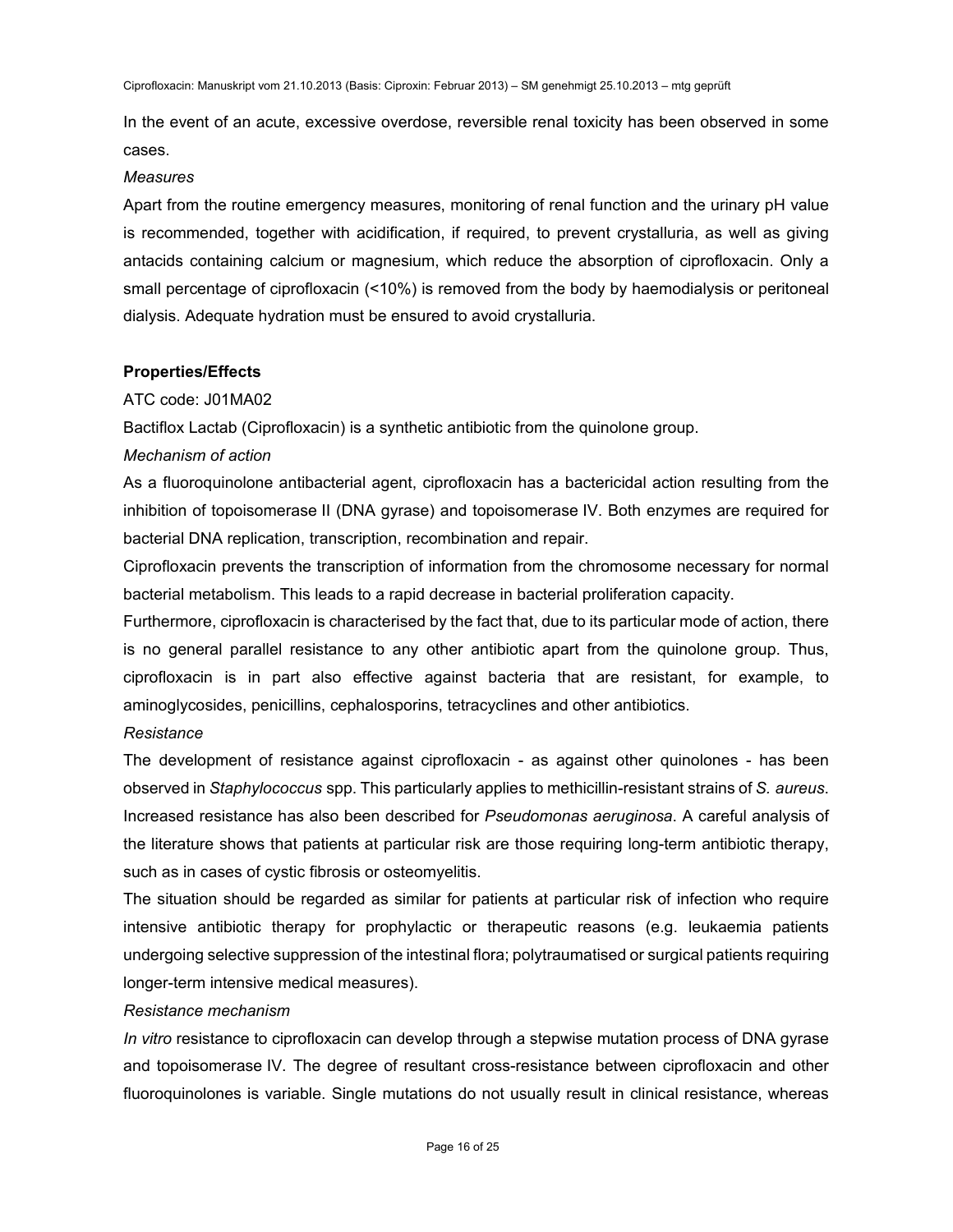In the event of an acute, excessive overdose, reversible renal toxicity has been observed in some cases.

#### *Measures*

Apart from the routine emergency measures, monitoring of renal function and the urinary pH value is recommended, together with acidification, if required, to prevent crystalluria, as well as giving antacids containing calcium or magnesium, which reduce the absorption of ciprofloxacin. Only a small percentage of ciprofloxacin (<10%) is removed from the body by haemodialysis or peritoneal dialysis. Adequate hydration must be ensured to avoid crystalluria.

### **Properties/Effects**

### ATC code: J01MA02

Bactiflox Lactab (Ciprofloxacin) is a synthetic antibiotic from the quinolone group.

### *Mechanism of action*

As a fluoroquinolone antibacterial agent, ciprofloxacin has a bactericidal action resulting from the inhibition of topoisomerase II (DNA gyrase) and topoisomerase IV. Both enzymes are required for bacterial DNA replication, transcription, recombination and repair.

Ciprofloxacin prevents the transcription of information from the chromosome necessary for normal bacterial metabolism. This leads to a rapid decrease in bacterial proliferation capacity.

Furthermore, ciprofloxacin is characterised by the fact that, due to its particular mode of action, there is no general parallel resistance to any other antibiotic apart from the quinolone group. Thus, ciprofloxacin is in part also effective against bacteria that are resistant, for example, to aminoglycosides, penicillins, cephalosporins, tetracyclines and other antibiotics.

### *Resistance*

The development of resistance against ciprofloxacin - as against other quinolones - has been observed in *Staphylococcus* spp. This particularly applies to methicillin-resistant strains of *S. aureus*. Increased resistance has also been described for *Pseudomonas aeruginosa*. A careful analysis of the literature shows that patients at particular risk are those requiring long-term antibiotic therapy, such as in cases of cystic fibrosis or osteomyelitis.

The situation should be regarded as similar for patients at particular risk of infection who require intensive antibiotic therapy for prophylactic or therapeutic reasons (e.g. leukaemia patients undergoing selective suppression of the intestinal flora; polytraumatised or surgical patients requiring longer-term intensive medical measures).

### *Resistance mechanism*

*In vitro* resistance to ciprofloxacin can develop through a stepwise mutation process of DNA gyrase and topoisomerase IV. The degree of resultant cross-resistance between ciprofloxacin and other fluoroquinolones is variable. Single mutations do not usually result in clinical resistance, whereas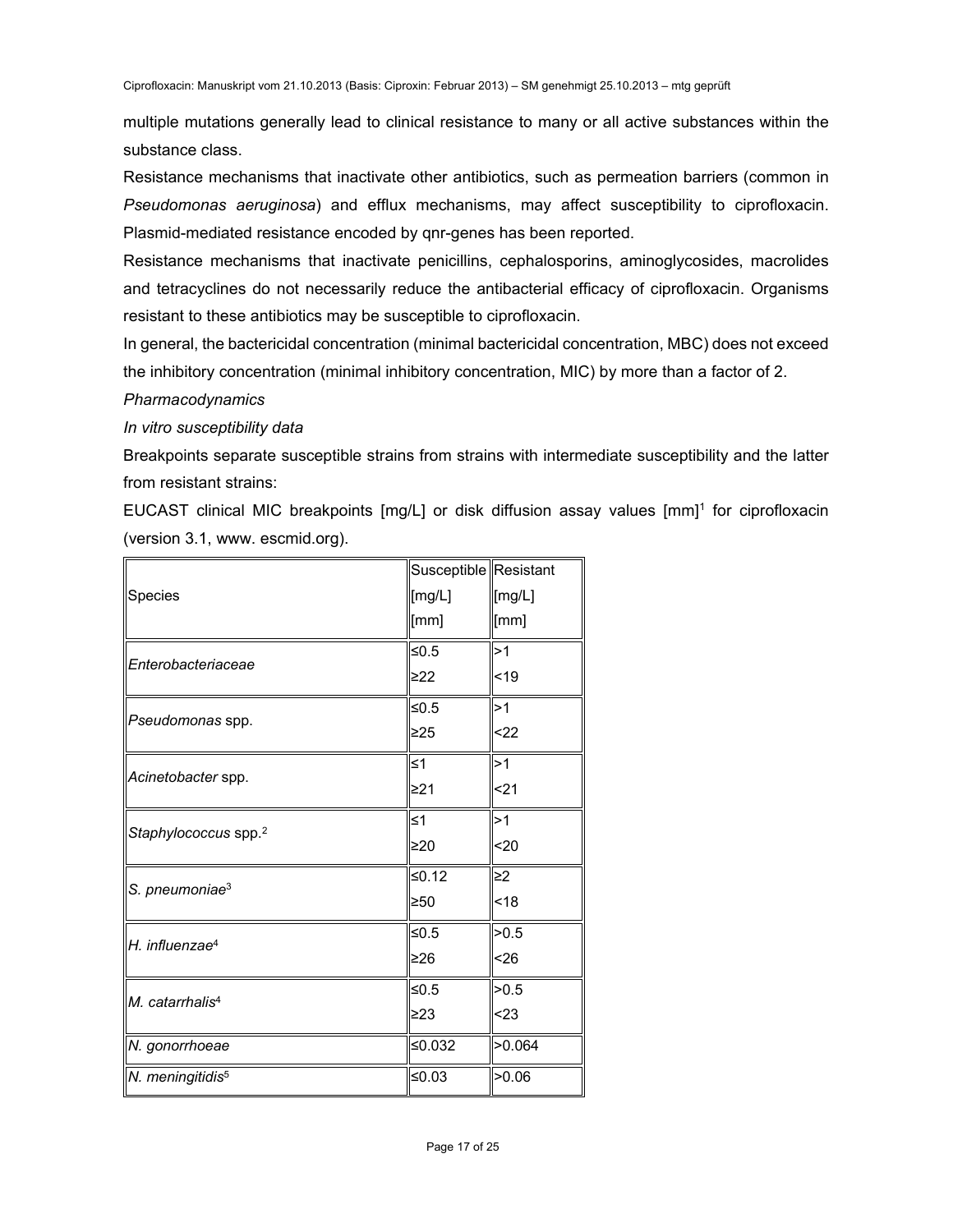multiple mutations generally lead to clinical resistance to many or all active substances within the substance class.

Resistance mechanisms that inactivate other antibiotics, such as permeation barriers (common in *Pseudomonas aeruginosa*) and efflux mechanisms, may affect susceptibility to ciprofloxacin. Plasmid-mediated resistance encoded by qnr-genes has been reported.

Resistance mechanisms that inactivate penicillins, cephalosporins, aminoglycosides, macrolides and tetracyclines do not necessarily reduce the antibacterial efficacy of ciprofloxacin. Organisms resistant to these antibiotics may be susceptible to ciprofloxacin.

In general, the bactericidal concentration (minimal bactericidal concentration, MBC) does not exceed the inhibitory concentration (minimal inhibitory concentration, MIC) by more than a factor of 2.

# *Pharmacodynamics*

# *In vitro susceptibility data*

Breakpoints separate susceptible strains from strains with intermediate susceptibility and the latter from resistant strains:

EUCAST clinical MIC breakpoints [mg/L] or disk diffusion assay values [mm]<sup>1</sup> for ciprofloxacin (version 3.1, www. escmid.org).

|                                  | Susceptible Resistant |          |
|----------------------------------|-----------------------|----------|
| Species                          | [mg/L]                | [mg/L]   |
|                                  | [mm]                  | [mm]     |
| Enterobacteriaceae               | ≤ $0.5$               | >1       |
|                                  | ≥22                   | $19$     |
| Pseudomonas spp.                 | ≤0.5                  | 1>ا      |
|                                  | ≥25                   | $22$     |
| Acinetobacter spp.               | ≤1                    | >1       |
|                                  | ≥21                   | <21      |
| Staphylococcus spp. <sup>2</sup> | ≤1                    | >1       |
|                                  | $\geq 20$             | 20       |
| S. pneumoniae <sup>3</sup>       | ≤0.12                 | $\geq$ 2 |
|                                  | ≥50                   | <18      |
| H. influenzae <sup>4</sup>       | ≤ $0.5$               | >0.5     |
|                                  | ≥26                   | < 26     |
| M. catarrhalis <sup>4</sup>      | ≤ $0.5$               | >0.5     |
|                                  | ≥23                   | < 23     |
| N. gonorrhoeae                   | ≤0.032                | >0.064   |
| N. meningitidis <sup>5</sup>     | ≤0.03                 | >0.06    |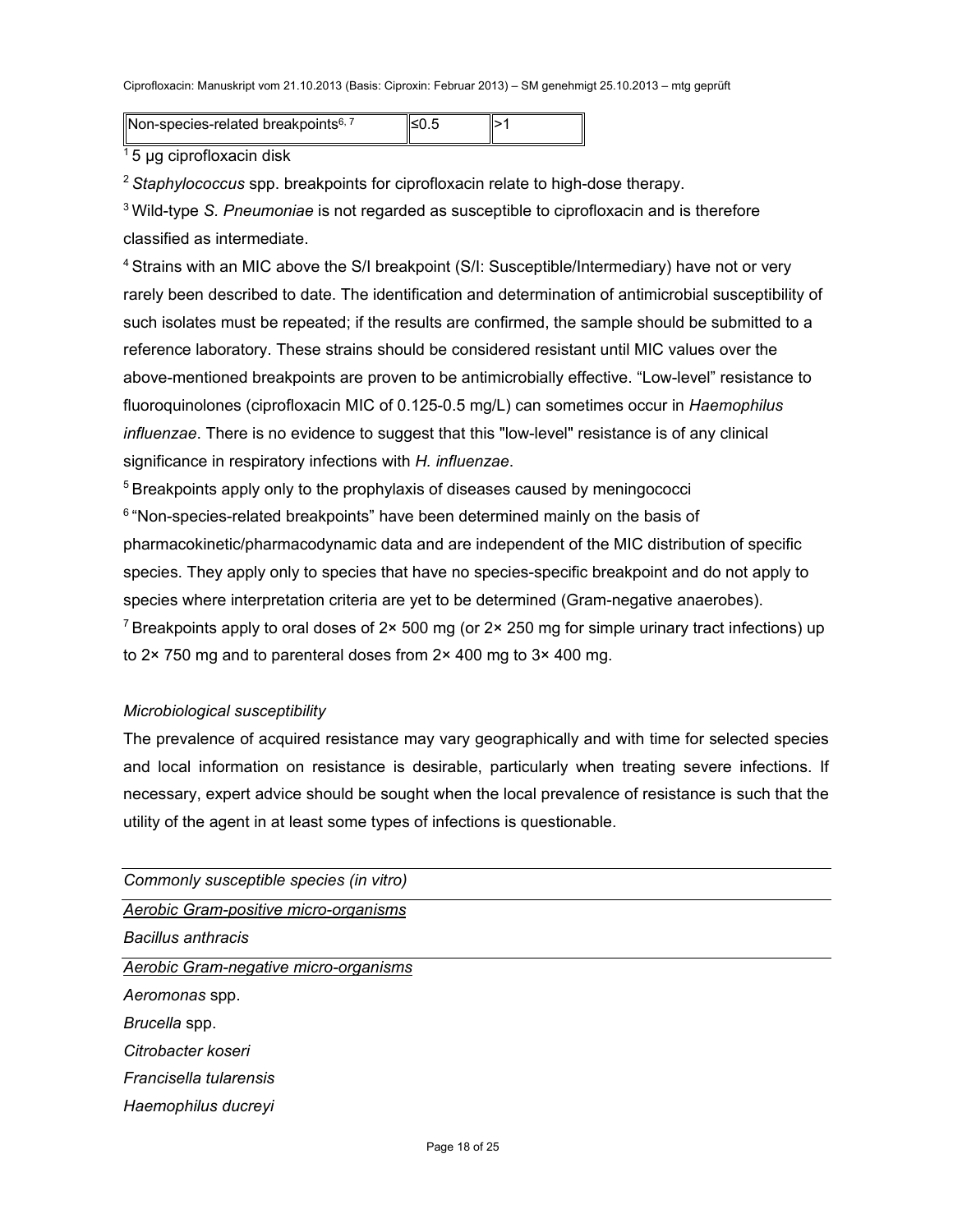Non-species-related breakpoints<sup>6, 7</sup>  $||\leq 0.5$   $||>1$ 

5 µg ciprofloxacin disk

<sup>2</sup>*Staphylococcus* spp. breakpoints for ciprofloxacin relate to high-dose therapy.

3 Wild-type *S. Pneumoniae* is not regarded as susceptible to ciprofloxacin and is therefore classified as intermediate.

4 Strains with an MIC above the S/I breakpoint (S/I: Susceptible/Intermediary) have not or very rarely been described to date. The identification and determination of antimicrobial susceptibility of such isolates must be repeated; if the results are confirmed, the sample should be submitted to a reference laboratory. These strains should be considered resistant until MIC values over the above-mentioned breakpoints are proven to be antimicrobially effective. "Low-level" resistance to fluoroquinolones (ciprofloxacin MIC of 0.125-0.5 mg/L) can sometimes occur in *Haemophilus influenzae*. There is no evidence to suggest that this "low-level" resistance is of any clinical significance in respiratory infections with *H. influenzae*.

<sup>5</sup> Breakpoints apply only to the prophylaxis of diseases caused by meningococci  $6$  "Non-species-related breakpoints" have been determined mainly on the basis of pharmacokinetic/pharmacodynamic data and are independent of the MIC distribution of specific species. They apply only to species that have no species-specific breakpoint and do not apply to species where interpretation criteria are yet to be determined (Gram-negative anaerobes). <sup>7</sup> Breakpoints apply to oral doses of 2× 500 mg (or 2× 250 mg for simple urinary tract infections) up to 2× 750 mg and to parenteral doses from 2× 400 mg to 3× 400 mg.

### *Microbiological susceptibility*

The prevalence of acquired resistance may vary geographically and with time for selected species and local information on resistance is desirable, particularly when treating severe infections. If necessary, expert advice should be sought when the local prevalence of resistance is such that the utility of the agent in at least some types of infections is questionable.

| Commonly susceptible species (in vitro) |
|-----------------------------------------|
| Aerobic Gram-positive micro-organisms   |
| Bacillus anthracis                      |
| Aerobic Gram-negative micro-organisms   |
| Aeromonas spp.                          |
| Brucella spp.                           |
| Citrobacter koseri                      |
| Francisella tularensis                  |
| Haemophilus ducreyi                     |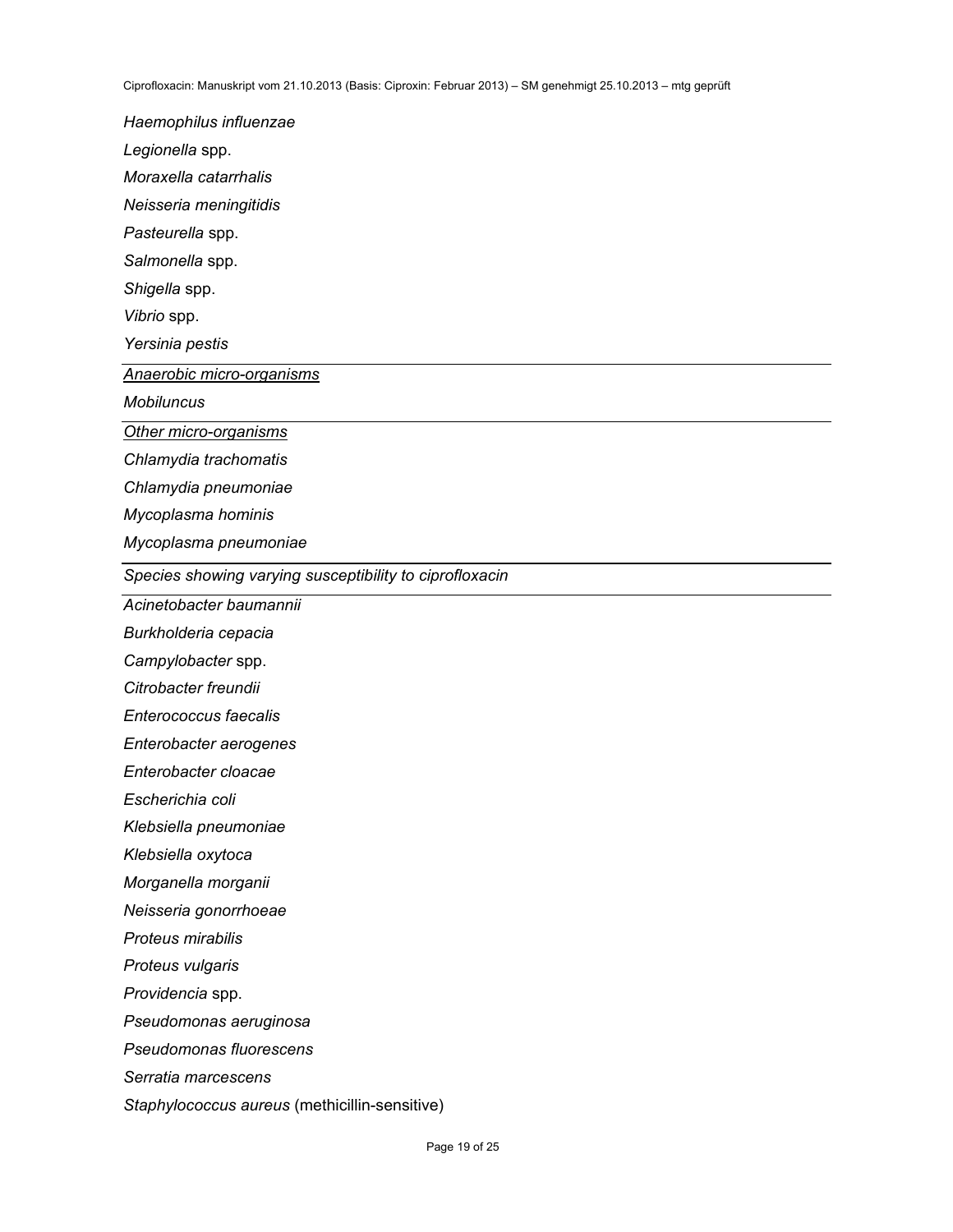*Haemophilus influenzae Legionella* spp. *Moraxella catarrhalis Neisseria meningitidis Pasteurella* spp. *Salmonella* spp. *Shigella* spp. *Vibrio* spp. *Yersinia pestis Anaerobic micro-organisms Mobiluncus Other micro-organisms Chlamydia trachomatis Chlamydia pneumoniae Mycoplasma hominis Mycoplasma pneumoniae Species showing varying susceptibility to ciprofloxacin Acinetobacter baumannii Burkholderia cepacia Campylobacter* spp. *Citrobacter freundii Enterococcus faecalis Enterobacter aerogenes Enterobacter cloacae Escherichia coli Klebsiella pneumoniae Klebsiella oxytoca Morganella morganii Neisseria gonorrhoeae Proteus mirabilis Proteus vulgaris Providencia* spp. *Pseudomonas aeruginosa Pseudomonas fluorescens Serratia marcescens Staphylococcus aureus* (methicillin-sensitive)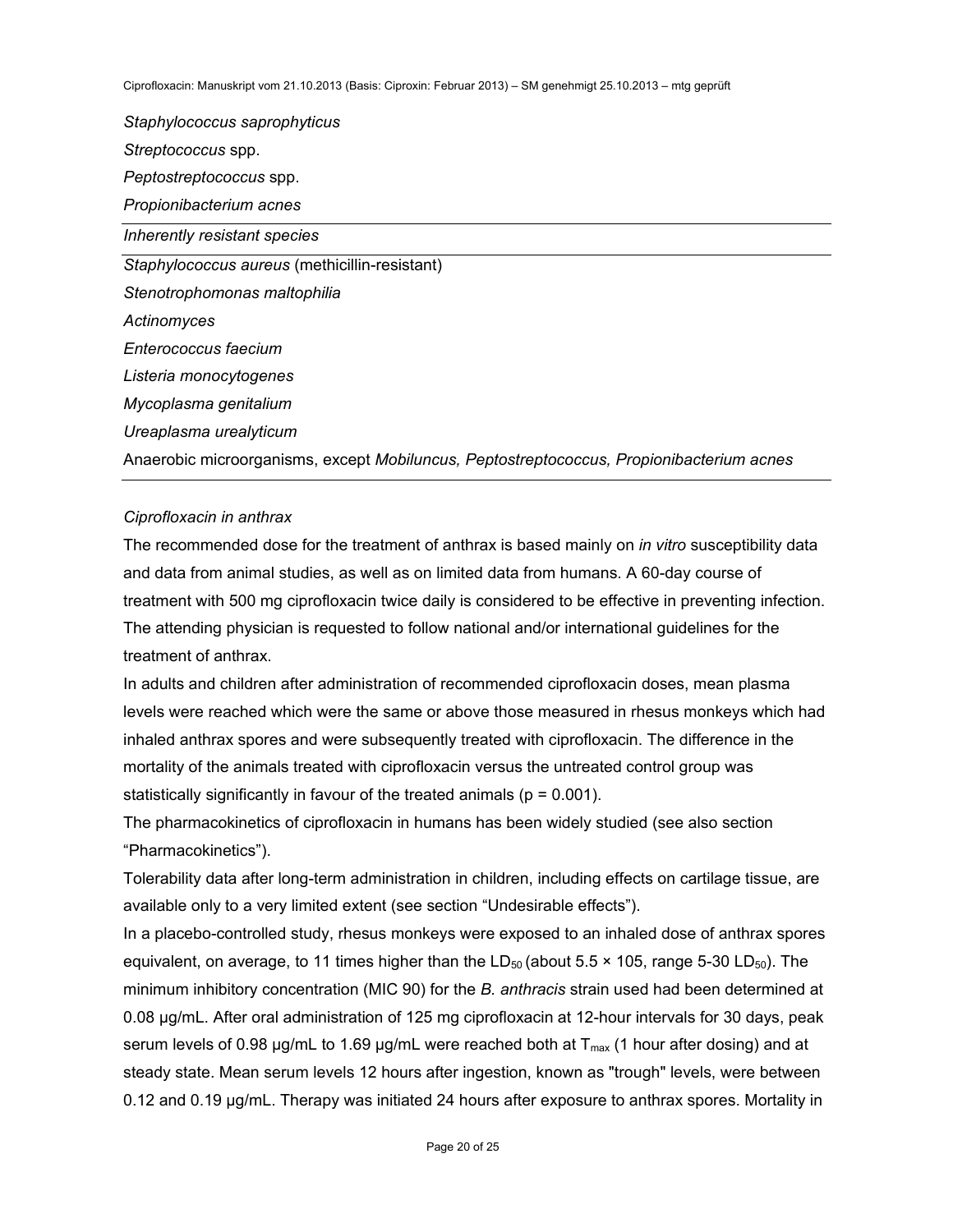*Staphylococcus saprophyticus Streptococcus* spp. *Peptostreptococcus* spp. *Propionibacterium acnes Inherently resistant species Staphylococcus aureus* (methicillin-resistant) *Stenotrophomonas maltophilia Actinomyces Enterococcus faecium Listeria monocytogenes Mycoplasma genitalium Ureaplasma urealyticum*  Anaerobic microorganisms, except *Mobiluncus, Peptostreptococcus, Propionibacterium acnes*

### *Ciprofloxacin in anthrax*

The recommended dose for the treatment of anthrax is based mainly on *in vitro* susceptibility data and data from animal studies, as well as on limited data from humans. A 60-day course of treatment with 500 mg ciprofloxacin twice daily is considered to be effective in preventing infection. The attending physician is requested to follow national and/or international guidelines for the treatment of anthrax.

In adults and children after administration of recommended ciprofloxacin doses, mean plasma levels were reached which were the same or above those measured in rhesus monkeys which had inhaled anthrax spores and were subsequently treated with ciprofloxacin. The difference in the mortality of the animals treated with ciprofloxacin versus the untreated control group was statistically significantly in favour of the treated animals ( $p = 0.001$ ).

The pharmacokinetics of ciprofloxacin in humans has been widely studied (see also section "Pharmacokinetics").

Tolerability data after long-term administration in children, including effects on cartilage tissue, are available only to a very limited extent (see section "Undesirable effects").

In a placebo-controlled study, rhesus monkeys were exposed to an inhaled dose of anthrax spores equivalent, on average, to 11 times higher than the  $LD_{50}$  (about 5.5  $\times$  105, range 5-30 LD<sub>50</sub>). The minimum inhibitory concentration (MIC 90) for the *B. anthracis* strain used had been determined at 0.08 µg/mL. After oral administration of 125 mg ciprofloxacin at 12-hour intervals for 30 days, peak serum levels of 0.98  $\mu$ g/mL to 1.69  $\mu$ g/mL were reached both at  $T_{\text{max}}$  (1 hour after dosing) and at steady state. Mean serum levels 12 hours after ingestion, known as "trough" levels, were between 0.12 and 0.19 µg/mL. Therapy was initiated 24 hours after exposure to anthrax spores. Mortality in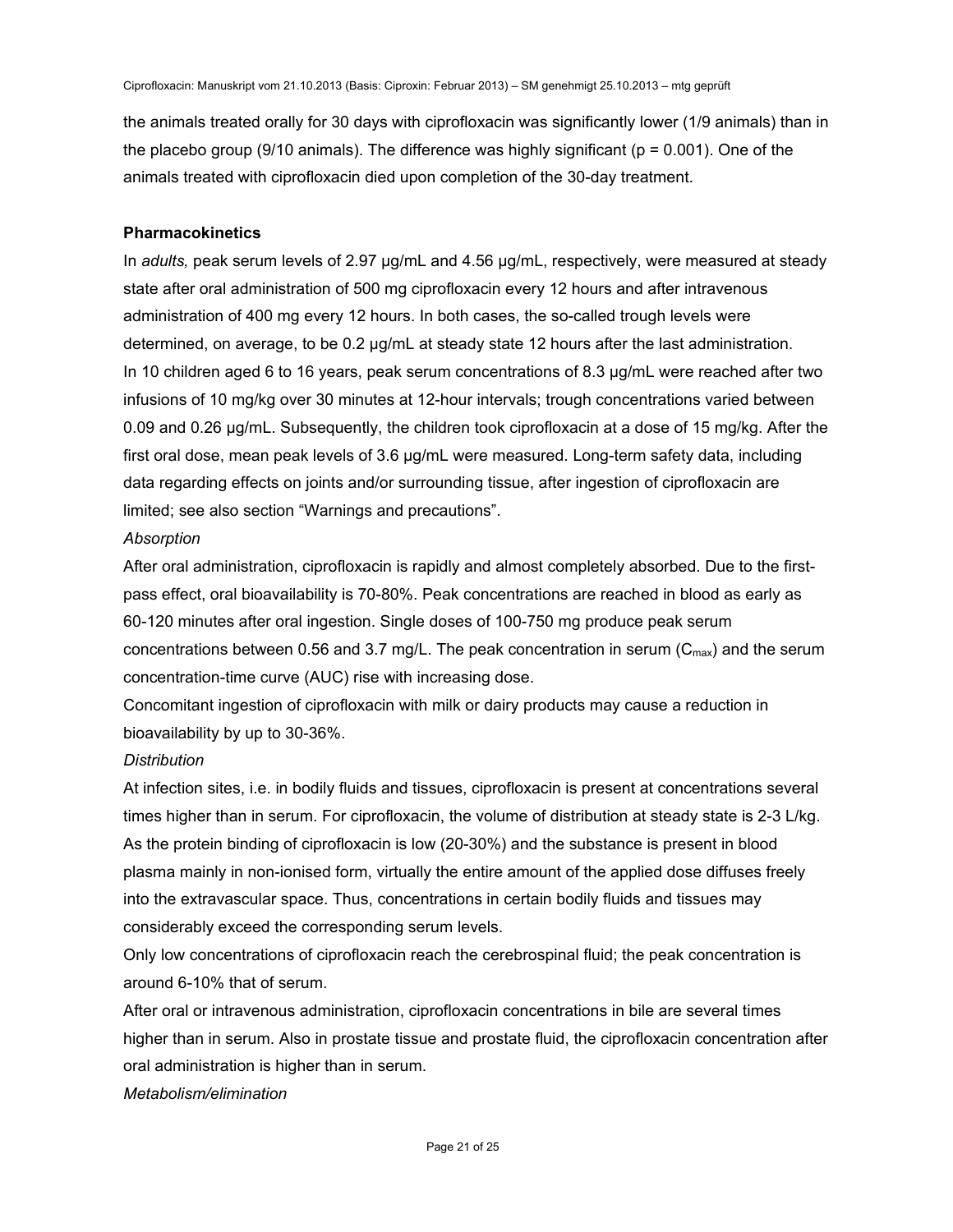the animals treated orally for 30 days with ciprofloxacin was significantly lower (1/9 animals) than in the placebo group (9/10 animals). The difference was highly significant ( $p = 0.001$ ). One of the animals treated with ciprofloxacin died upon completion of the 30-day treatment.

#### **Pharmacokinetics**

In *adults,* peak serum levels of 2.97 µg/mL and 4.56 µg/mL, respectively, were measured at steady state after oral administration of 500 mg ciprofloxacin every 12 hours and after intravenous administration of 400 mg every 12 hours. In both cases, the so-called trough levels were determined, on average, to be 0.2 µg/mL at steady state 12 hours after the last administration. In 10 children aged 6 to 16 years, peak serum concentrations of 8.3 µg/mL were reached after two infusions of 10 mg/kg over 30 minutes at 12-hour intervals; trough concentrations varied between 0.09 and 0.26 µg/mL. Subsequently, the children took ciprofloxacin at a dose of 15 mg/kg. After the first oral dose, mean peak levels of 3.6 µg/mL were measured. Long-term safety data, including data regarding effects on joints and/or surrounding tissue, after ingestion of ciprofloxacin are limited; see also section "Warnings and precautions".

### *Absorption*

After oral administration, ciprofloxacin is rapidly and almost completely absorbed. Due to the firstpass effect, oral bioavailability is 70-80%. Peak concentrations are reached in blood as early as 60-120 minutes after oral ingestion. Single doses of 100-750 mg produce peak serum concentrations between 0.56 and 3.7 mg/L. The peak concentration in serum ( $C_{\text{max}}$ ) and the serum concentration-time curve (AUC) rise with increasing dose.

Concomitant ingestion of ciprofloxacin with milk or dairy products may cause a reduction in bioavailability by up to 30-36%.

### *Distribution*

At infection sites, i.e. in bodily fluids and tissues, ciprofloxacin is present at concentrations several times higher than in serum. For ciprofloxacin, the volume of distribution at steady state is 2-3 L/kg. As the protein binding of ciprofloxacin is low (20-30%) and the substance is present in blood plasma mainly in non-ionised form, virtually the entire amount of the applied dose diffuses freely into the extravascular space. Thus, concentrations in certain bodily fluids and tissues may considerably exceed the corresponding serum levels.

Only low concentrations of ciprofloxacin reach the cerebrospinal fluid; the peak concentration is around 6-10% that of serum.

After oral or intravenous administration, ciprofloxacin concentrations in bile are several times higher than in serum. Also in prostate tissue and prostate fluid, the ciprofloxacin concentration after oral administration is higher than in serum.

### *Metabolism/elimination*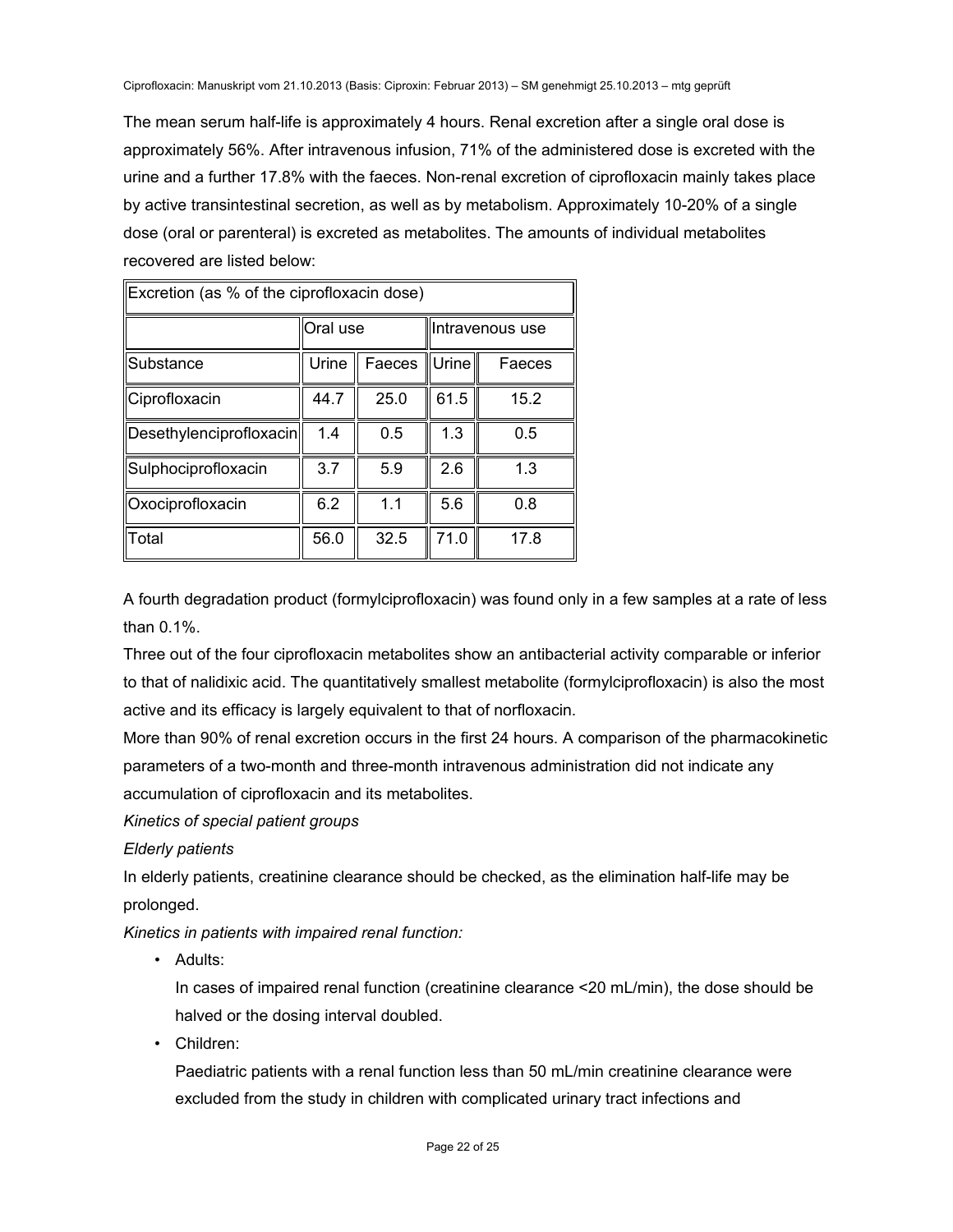The mean serum half-life is approximately 4 hours. Renal excretion after a single oral dose is approximately 56%. After intravenous infusion, 71% of the administered dose is excreted with the urine and a further 17.8% with the faeces. Non-renal excretion of ciprofloxacin mainly takes place by active transintestinal secretion, as well as by metabolism. Approximately 10-20% of a single dose (oral or parenteral) is excreted as metabolites. The amounts of individual metabolites recovered are listed below:

| ∥Excretion (as % of the ciprofloxacin dose) |          |        |                 |        |  |
|---------------------------------------------|----------|--------|-----------------|--------|--|
|                                             | Oral use |        | Intravenous use |        |  |
| Substance                                   | Urine    | Faeces | Urine           | Faeces |  |
| Ciprofloxacin                               | 44.7     | 25.0   | 61.5            | 15.2   |  |
| Desethylenciprofloxacin                     | 1.4      | 0.5    | 1.3             | 0.5    |  |
| ∥Sulphociprofloxacin                        | 3.7      | 5.9    | 2.6             | 1.3    |  |
| Oxociprofloxacin                            | 6.2      | 1.1    | 5.6             | 0.8    |  |
| llTotal                                     | 56.0     | 32.5   | 71.0            | 17.8   |  |

A fourth degradation product (formylciprofloxacin) was found only in a few samples at a rate of less than 0.1%.

Three out of the four ciprofloxacin metabolites show an antibacterial activity comparable or inferior to that of nalidixic acid. The quantitatively smallest metabolite (formylciprofloxacin) is also the most active and its efficacy is largely equivalent to that of norfloxacin.

More than 90% of renal excretion occurs in the first 24 hours. A comparison of the pharmacokinetic parameters of a two-month and three-month intravenous administration did not indicate any accumulation of ciprofloxacin and its metabolites.

*Kinetics of special patient groups* 

*Elderly patients* 

In elderly patients, creatinine clearance should be checked, as the elimination half-life may be prolonged.

*Kinetics in patients with impaired renal function:* 

• Adults:

In cases of impaired renal function (creatinine clearance <20 mL/min), the dose should be halved or the dosing interval doubled.

• Children:

Paediatric patients with a renal function less than 50 mL/min creatinine clearance were excluded from the study in children with complicated urinary tract infections and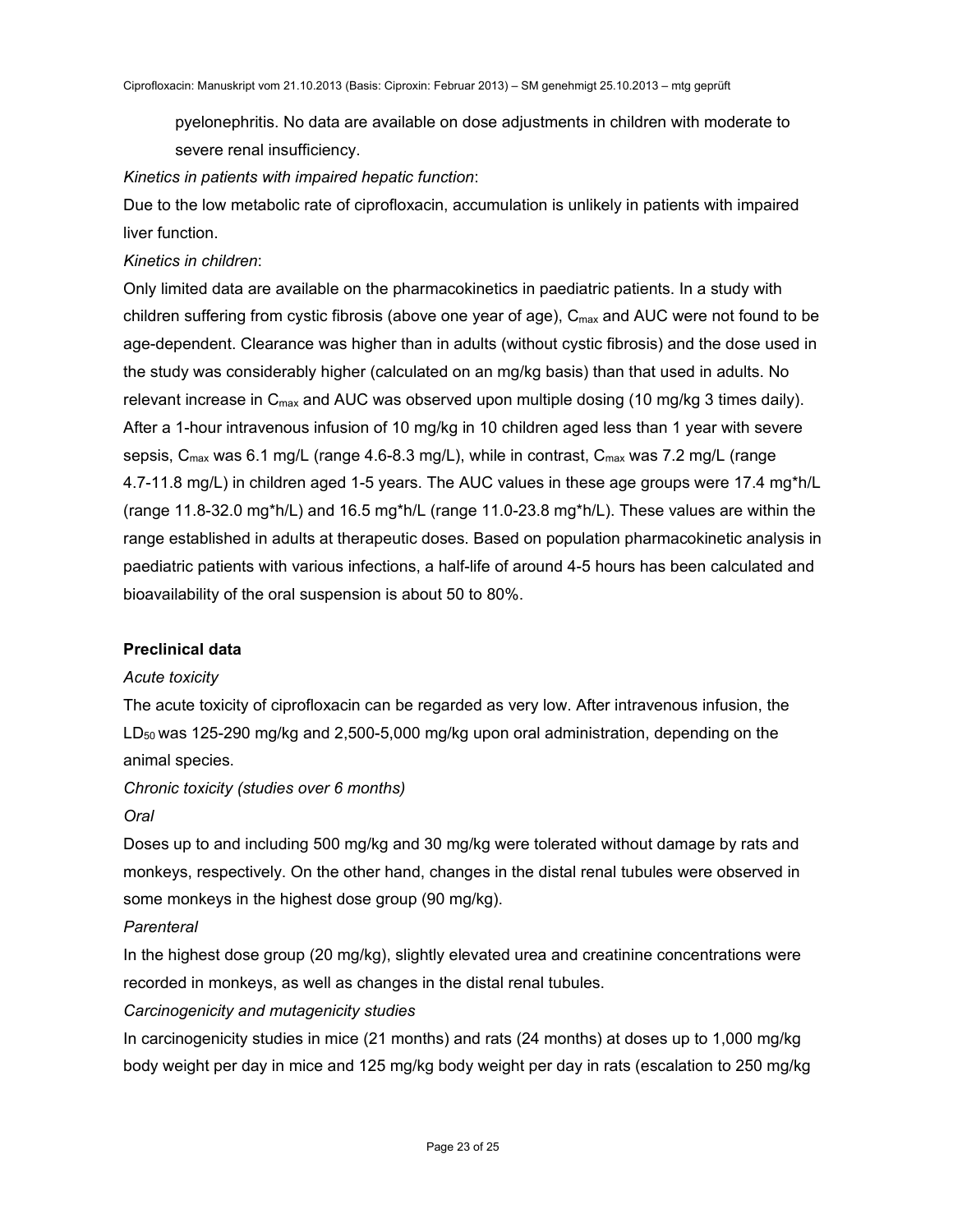pyelonephritis. No data are available on dose adjustments in children with moderate to severe renal insufficiency.

### *Kinetics in patients with impaired hepatic function*:

Due to the low metabolic rate of ciprofloxacin, accumulation is unlikely in patients with impaired liver function.

# *Kinetics in children*:

Only limited data are available on the pharmacokinetics in paediatric patients. In a study with children suffering from cystic fibrosis (above one year of age),  $C_{\text{max}}$  and AUC were not found to be age-dependent. Clearance was higher than in adults (without cystic fibrosis) and the dose used in the study was considerably higher (calculated on an mg/kg basis) than that used in adults. No relevant increase in  $C_{\text{max}}$  and AUC was observed upon multiple dosing (10 mg/kg 3 times daily). After a 1-hour intravenous infusion of 10 mg/kg in 10 children aged less than 1 year with severe sepsis,  $C_{\text{max}}$  was 6.1 mg/L (range 4.6-8.3 mg/L), while in contrast,  $C_{\text{max}}$  was 7.2 mg/L (range 4.7-11.8 mg/L) in children aged 1-5 years. The AUC values in these age groups were 17.4 mg\*h/L (range 11.8-32.0 mg\*h/L) and 16.5 mg\*h/L (range 11.0-23.8 mg\*h/L). These values are within the range established in adults at therapeutic doses. Based on population pharmacokinetic analysis in paediatric patients with various infections, a half-life of around 4-5 hours has been calculated and bioavailability of the oral suspension is about 50 to 80%.

# **Preclinical data**

# *Acute toxicity*

The acute toxicity of ciprofloxacin can be regarded as very low. After intravenous infusion, the  $LD_{50}$  was 125-290 mg/kg and 2,500-5,000 mg/kg upon oral administration, depending on the animal species.

*Chronic toxicity (studies over 6 months) Oral*

Doses up to and including 500 mg/kg and 30 mg/kg were tolerated without damage by rats and monkeys, respectively. On the other hand, changes in the distal renal tubules were observed in some monkeys in the highest dose group (90 mg/kg).

# *Parenteral*

In the highest dose group (20 mg/kg), slightly elevated urea and creatinine concentrations were recorded in monkeys, as well as changes in the distal renal tubules.

# *Carcinogenicity and mutagenicity studies*

In carcinogenicity studies in mice (21 months) and rats (24 months) at doses up to 1,000 mg/kg body weight per day in mice and 125 mg/kg body weight per day in rats (escalation to 250 mg/kg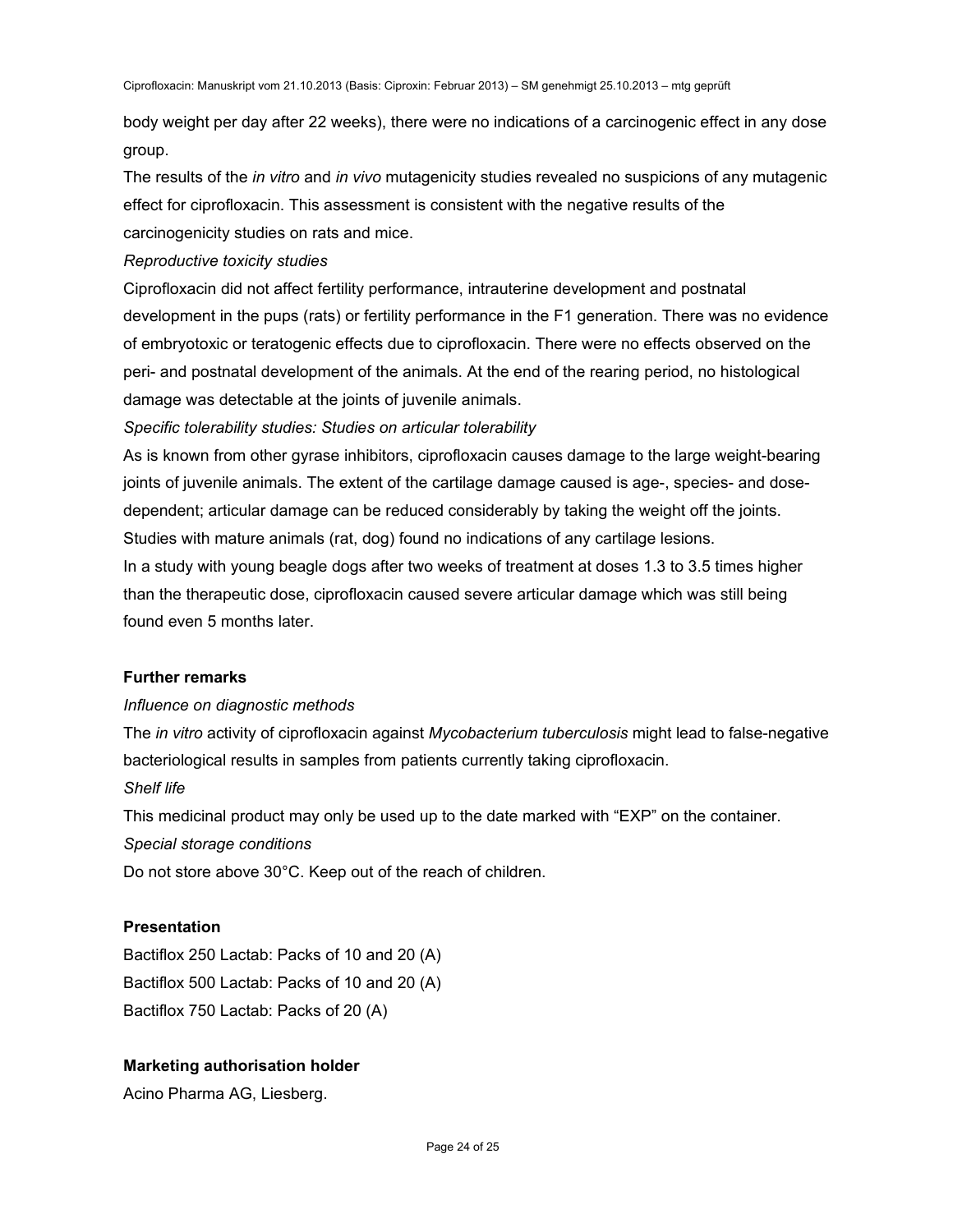body weight per day after 22 weeks), there were no indications of a carcinogenic effect in any dose group.

The results of the *in vitro* and *in vivo* mutagenicity studies revealed no suspicions of any mutagenic effect for ciprofloxacin. This assessment is consistent with the negative results of the carcinogenicity studies on rats and mice.

*Reproductive toxicity studies* 

Ciprofloxacin did not affect fertility performance, intrauterine development and postnatal development in the pups (rats) or fertility performance in the F1 generation. There was no evidence of embryotoxic or teratogenic effects due to ciprofloxacin. There were no effects observed on the peri- and postnatal development of the animals. At the end of the rearing period, no histological damage was detectable at the joints of juvenile animals.

*Specific tolerability studies: Studies on articular tolerability* 

As is known from other gyrase inhibitors, ciprofloxacin causes damage to the large weight-bearing joints of juvenile animals. The extent of the cartilage damage caused is age-, species- and dosedependent; articular damage can be reduced considerably by taking the weight off the joints. Studies with mature animals (rat, dog) found no indications of any cartilage lesions.

In a study with young beagle dogs after two weeks of treatment at doses 1.3 to 3.5 times higher than the therapeutic dose, ciprofloxacin caused severe articular damage which was still being found even 5 months later.

# **Further remarks**

# *Influence on diagnostic methods*

The *in vitro* activity of ciprofloxacin against *Mycobacterium tuberculosis* might lead to false-negative bacteriological results in samples from patients currently taking ciprofloxacin.

# *Shelf life*

This medicinal product may only be used up to the date marked with "EXP" on the container. *Special storage conditions* 

Do not store above 30°C. Keep out of the reach of children.

# **Presentation**

Bactiflox 250 Lactab: Packs of 10 and 20 (A) Bactiflox 500 Lactab: Packs of 10 and 20 (A) Bactiflox 750 Lactab: Packs of 20 (A)

# **Marketing authorisation holder**

Acino Pharma AG, Liesberg.